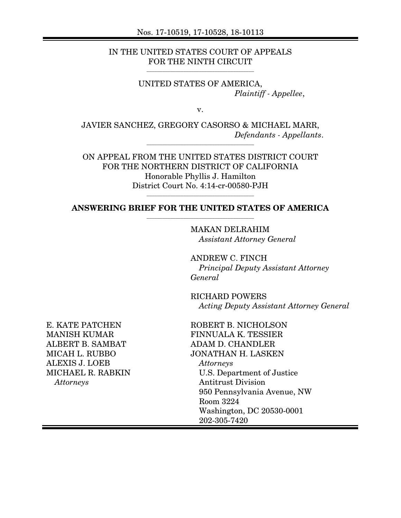IN THE UNITED STATES COURT OF APPEALS FOR THE NINTH CIRCUIT

 $\overline{\phantom{a}}$  , and the set of the set of the set of the set of the set of the set of the set of the set of the set of the set of the set of the set of the set of the set of the set of the set of the set of the set of the s

UNITED STATES OF AMERICA, *Plaintiff - Appellee*,

v.

JAVIER SANCHEZ, GREGORY CASORSO & MICHAEL MARR, *Defendants - Appellants*. \_\_\_\_\_\_\_\_\_\_\_\_\_\_\_\_\_\_\_\_\_\_\_\_\_\_\_\_\_\_\_\_\_\_\_\_\_\_\_\_\_

ON APPEAL FROM THE UNITED STATES DISTRICT COURT FOR THE NORTHERN DISTRICT OF CALIFORNIA Honorable Phyllis J. Hamilton District Court No. 4:14-cr-00580-PJH

#### **ANSWERING BRIEF FOR THE UNITED STATES OF AMERICA** \_\_\_\_\_\_\_\_\_\_\_\_\_\_\_\_\_\_\_\_\_\_\_\_\_\_\_\_\_\_\_\_\_\_\_\_\_\_\_\_\_

\_\_\_\_\_\_\_\_\_\_\_\_\_\_\_\_\_\_\_\_\_\_\_\_\_\_\_\_\_\_\_\_\_\_\_\_\_\_\_\_\_

MAKAN DELRAHIM *Assistant Attorney General* 

ANDREW C. FINCH *Principal Deputy Assistant Attorney General* 

RICHARD POWERS *Acting Deputy Assistant Attorney General* 

E. KATE PATCHEN MANISH KUMAR ALBERT B. SAMBAT MICAH L. RUBBO ALEXIS J. LOEB MICHAEL R. RABKIN *Attorneys* 

ROBERT B. NICHOLSON FINNUALA K. TESSIER ADAM D. CHANDLER JONATHAN H. LASKEN *Attorneys*  U.S. Department of Justice Antitrust Division 950 Pennsylvania Avenue, NW Room 3224 Washington, DC 20530-0001 202-305-7420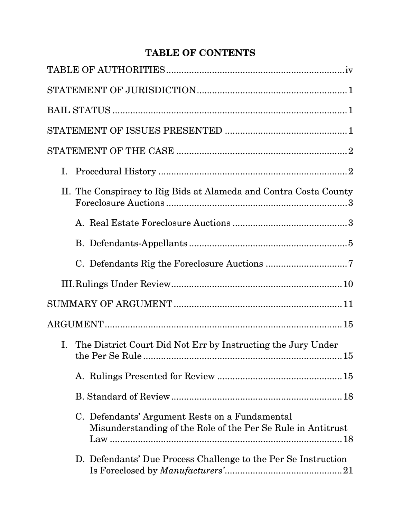# **TABLE OF CONTENTS**

| I.                                                                                                             |
|----------------------------------------------------------------------------------------------------------------|
| II. The Conspiracy to Rig Bids at Alameda and Contra Costa County                                              |
|                                                                                                                |
|                                                                                                                |
|                                                                                                                |
|                                                                                                                |
|                                                                                                                |
|                                                                                                                |
| I. The District Court Did Not Err by Instructing the Jury Under<br>the Per Se Rule<br>15                       |
|                                                                                                                |
|                                                                                                                |
| C. Defendants' Argument Rests on a Fundamental<br>Misunderstanding of the Role of the Per Se Rule in Antitrust |
| D. Defendants' Due Process Challenge to the Per Se Instruction                                                 |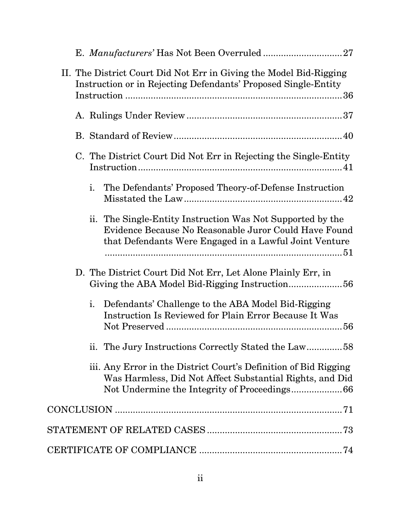| II. The District Court Did Not Err in Giving the Model Bid-Rigging<br>Instruction or in Rejecting Defendants' Proposed Single-Entity                                          |
|-------------------------------------------------------------------------------------------------------------------------------------------------------------------------------|
|                                                                                                                                                                               |
|                                                                                                                                                                               |
| C. The District Court Did Not Err in Rejecting the Single-Entity                                                                                                              |
| $\mathbf{i}$ .<br>The Defendants' Proposed Theory-of-Defense Instruction                                                                                                      |
| ii. The Single-Entity Instruction Was Not Supported by the<br>Evidence Because No Reasonable Juror Could Have Found<br>that Defendants Were Engaged in a Lawful Joint Venture |
| D. The District Court Did Not Err, Let Alone Plainly Err, in                                                                                                                  |
| i.<br>Defendants' Challenge to the ABA Model Bid-Rigging<br><b>Instruction Is Reviewed for Plain Error Because It Was</b>                                                     |
| ii. The Jury Instructions Correctly Stated the Law58                                                                                                                          |
| iii. Any Error in the District Court's Definition of Bid Rigging<br>Was Harmless, Did Not Affect Substantial Rights, and Did                                                  |
|                                                                                                                                                                               |
|                                                                                                                                                                               |
|                                                                                                                                                                               |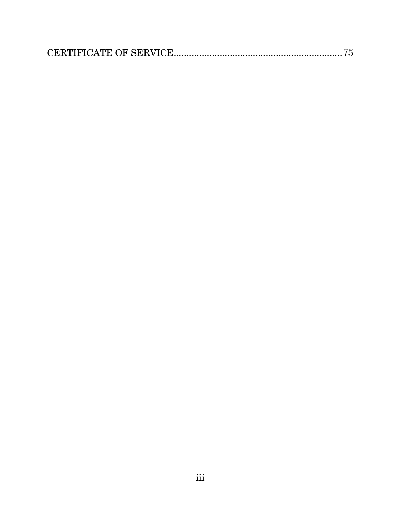|--|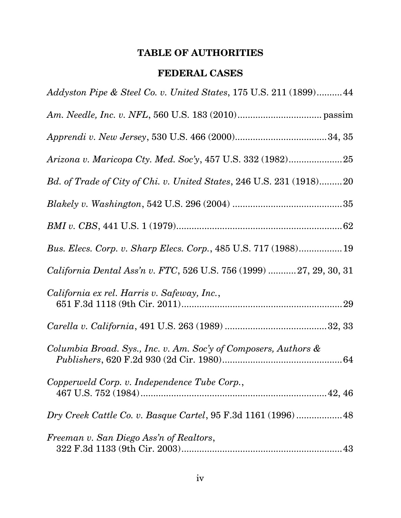# **TABLE OF AUTHORITIES**

## **FEDERAL CASES**

<span id="page-4-0"></span>

| Addyston Pipe & Steel Co. v. United States, 175 U.S. 211 (1899)44    |
|----------------------------------------------------------------------|
|                                                                      |
|                                                                      |
|                                                                      |
| Bd. of Trade of City of Chi. v. United States, 246 U.S. 231 (1918)20 |
|                                                                      |
|                                                                      |
| Bus. Elecs. Corp. v. Sharp Elecs. Corp., 485 U.S. 717 (1988)19       |
| California Dental Ass'n v. FTC, 526 U.S. 756 (1999)  27, 29, 30, 31  |
| California ex rel. Harris v. Safeway, Inc.,                          |
|                                                                      |
| Columbia Broad. Sys., Inc. v. Am. Soc'y of Composers, Authors &      |
| Copperweld Corp. v. Independence Tube Corp.,                         |
| Dry Creek Cattle Co. v. Basque Cartel, 95 F.3d 1161 (1996)48         |
| Freeman v. San Diego Ass'n of Realtors,                              |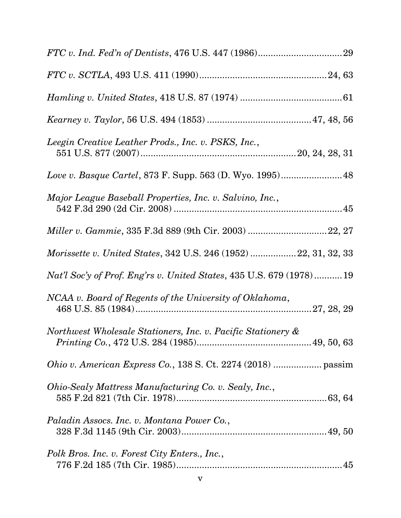| Leegin Creative Leather Prods., Inc. v. PSKS, Inc.,                        |
|----------------------------------------------------------------------------|
|                                                                            |
| Major League Baseball Properties, Inc. v. Salvino, Inc.,                   |
| Miller v. Gammie, 335 F.3d 889 (9th Cir. 2003) 22, 27                      |
| Morissette v. United States, 342 U.S. 246 (1952)  22, 31, 32, 33           |
| <i>Nat'l Soc'y of Prof. Eng'rs v. United States, 435 U.S. 679 (1978)19</i> |
| NCAA v. Board of Regents of the University of Oklahoma,                    |
| Northwest Wholesale Stationers, Inc. v. Pacific Stationery &               |
|                                                                            |
| Ohio-Sealy Mattress Manufacturing Co. v. Sealy, Inc.,                      |
| Paladin Assocs. Inc. v. Montana Power Co.,                                 |
| Polk Bros. Inc. v. Forest City Enters., Inc.,                              |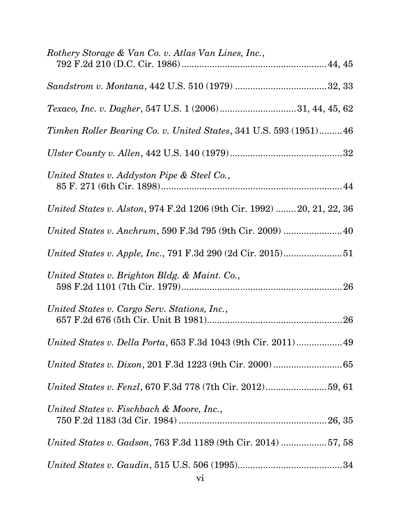| Rothery Storage & Van Co. v. Atlas Van Lines, Inc.,                   |
|-----------------------------------------------------------------------|
|                                                                       |
|                                                                       |
|                                                                       |
| Timken Roller Bearing Co. v. United States, 341 U.S. 593 (1951)46     |
|                                                                       |
| United States v. Addyston Pipe & Steel Co.,                           |
| United States v. Alston, 974 F.2d 1206 (9th Cir. 1992) 20, 21, 22, 36 |
|                                                                       |
|                                                                       |
| United States v. Brighton Bldg. & Maint. Co.,                         |
| United States v. Cargo Serv. Stations, Inc.,                          |
| United States v. Della Porta, 653 F.3d 1043 (9th Cir. 2011)49         |
|                                                                       |
|                                                                       |
| United States v. Fischbach & Moore, Inc.,                             |
|                                                                       |
| United States v. Gadson, 763 F.3d 1189 (9th Cir. 2014) 57, 58         |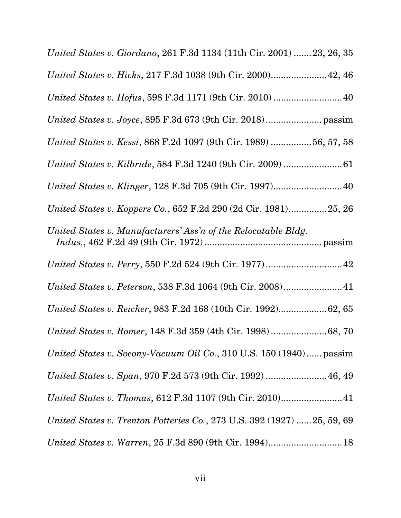| United States v. Giordano, 261 F.3d 1134 (11th Cir. 2001)  23, 26, 35   |
|-------------------------------------------------------------------------|
| United States v. Hicks, 217 F.3d 1038 (9th Cir. 2000) 42, 46            |
| United States v. Hofus, 598 F.3d 1171 (9th Cir. 2010)  40               |
|                                                                         |
| United States v. Kessi, 868 F.2d 1097 (9th Cir. 1989) 56, 57, 58        |
|                                                                         |
| United States v. Klinger, 128 F.3d 705 (9th Cir. 1997) 40               |
| United States v. Koppers Co., 652 F.2d 290 (2d Cir. 1981)25, 26         |
| United States v. Manufacturers' Ass'n of the Relocatable Bldg.          |
|                                                                         |
|                                                                         |
| United States v. Reicher, 983 F.2d 168 (10th Cir. 1992)62, 65           |
|                                                                         |
| United States v. Socony-Vacuum Oil Co., 310 U.S. 150 (1940) passim      |
| United States v. Span, 970 F.2d 573 (9th Cir. 1992)  46, 49             |
| United States v. Thomas, 612 F.3d 1107 (9th Cir. 2010) 41               |
| United States v. Trenton Potteries Co., 273 U.S. 392 (1927)  25, 59, 69 |
|                                                                         |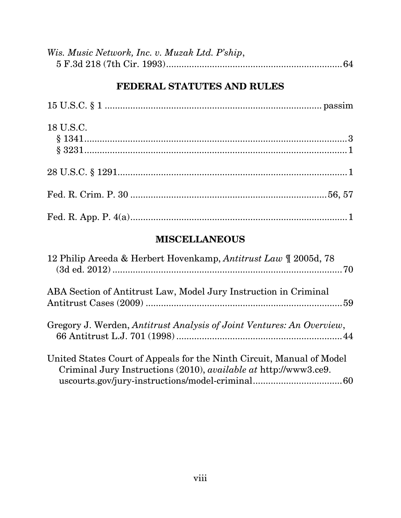| Wis. Music Network, Inc. v. Muzak Ltd. P'ship, |  |
|------------------------------------------------|--|
|                                                |  |

## **FEDERAL STATUTES AND RULES**

| 18 U.S.C. |  |
|-----------|--|
|           |  |
|           |  |
|           |  |
|           |  |

## **MISCELLANEOUS**

| 12 Philip Areeda & Herbert Hovenkamp, Antitrust Law ¶ 2005d, 78                                                                           |
|-------------------------------------------------------------------------------------------------------------------------------------------|
| ABA Section of Antitrust Law, Model Jury Instruction in Criminal                                                                          |
| Gregory J. Werden, Antitrust Analysis of Joint Ventures: An Overview,                                                                     |
| United States Court of Appeals for the Ninth Circuit, Manual of Model<br>Criminal Jury Instructions (2010), available at http://www3.ce9. |
|                                                                                                                                           |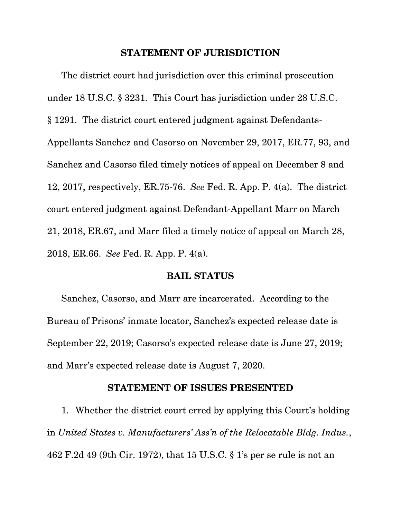#### **STATEMENT OF JURISDICTION**

The district court had jurisdiction over this criminal prosecution under 18 U.S.C. § 3231. This Court has jurisdiction under 28 U.S.C. § 1291. The district court entered judgment against Defendants-Appellants Sanchez and Casorso on November 29, 2017, ER.77, 93, and Sanchez and Casorso filed timely notices of appeal on December 8 and 12, 2017, respectively, ER.75-76. *See* Fed. R. App. P. 4(a). The district court entered judgment against Defendant-Appellant Marr on March 21, 2018, ER.67, and Marr filed a timely notice of appeal on March 28, 2018, ER.66. *See* Fed. R. App. P. 4(a).

#### **BAIL STATUS**

Sanchez, Casorso, and Marr are incarcerated. According to the Bureau of Prisons' inmate locator, Sanchez's expected release date is September 22, 2019; Casorso's expected release date is June 27, 2019; and Marr's expected release date is August 7, 2020.

#### **STATEMENT OF ISSUES PRESENTED**

1. Whether the district court erred by applying this Court's holding in *United States v. Manufacturers' Ass'n of the Relocatable Bldg. Indus.*, 462 F.2d 49 (9th Cir. 1972), that 15 U.S.C. § 1's per se rule is not an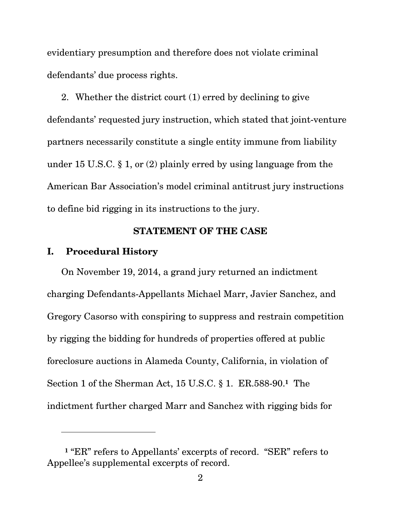<span id="page-10-0"></span>evidentiary presumption and therefore does not violate criminal defendants' due process rights.

2. Whether the district court (1) erred by declining to give defendants' requested jury instruction, which stated that joint-venture partners necessarily constitute a single entity immune from liability under 15 U.S.C. § 1, or (2) plainly erred by using language from the American Bar Association's model criminal antitrust jury instructions to define bid rigging in its instructions to the jury.

### **STATEMENT OF THE CASE**

#### **I. Procedural History**

l

On November 19, 2014, a grand jury returned an indictment charging Defendants-Appellants Michael Marr, Javier Sanchez, and Gregory Casorso with conspiring to suppress and restrain competition by rigging the bidding for hundreds of properties offered at public foreclosure auctions in Alameda County, California, in violation of Section 1 of the Sherman Act, 15 U.S.C. § 1. ER.588-90.**1** The indictment further charged Marr and Sanchez with rigging bids for

**<sup>1</sup>** "ER" refers to Appellants' excerpts of record. "SER" refers to Appellee's supplemental excerpts of record.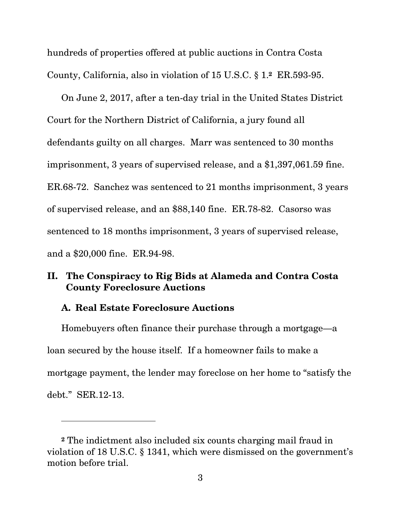<span id="page-11-0"></span>hundreds of properties offered at public auctions in Contra Costa County, California, also in violation of 15 U.S.C. § 1.**2** ER.593-95.

On June 2, 2017, after a ten-day trial in the United States District Court for the Northern District of California, a jury found all defendants guilty on all charges. Marr was sentenced to 30 months imprisonment, 3 years of supervised release, and a \$1,397,061.59 fine. ER.68-72. Sanchez was sentenced to 21 months imprisonment, 3 years of supervised release, and an \$88,140 fine. ER.78-82. Casorso was sentenced to 18 months imprisonment, 3 years of supervised release, and a \$20,000 fine. ER.94-98.

## **II. The Conspiracy to Rig Bids at Alameda and Contra Costa County Foreclosure Auctions**

### **A. Real Estate Foreclosure Auctions**

l

Homebuyers often finance their purchase through a mortgage—a loan secured by the house itself. If a homeowner fails to make a mortgage payment, the lender may foreclose on her home to "satisfy the debt." SER.12-13.

**<sup>2</sup>** The indictment also included six counts charging mail fraud in violation of 18 U.S.C. § 1341, which were dismissed on the government's motion before trial.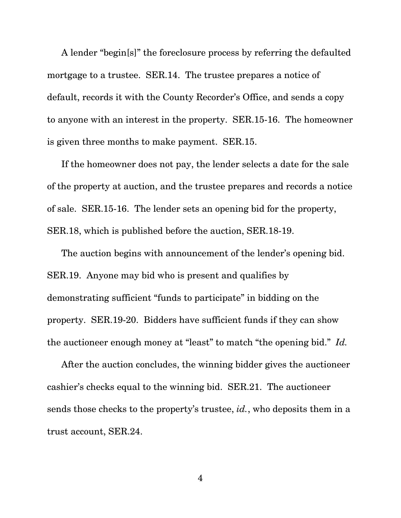A lender "begin[s]" the foreclosure process by referring the defaulted mortgage to a trustee. SER.14. The trustee prepares a notice of default, records it with the County Recorder's Office, and sends a copy to anyone with an interest in the property. SER.15-16. The homeowner is given three months to make payment. SER.15.

If the homeowner does not pay, the lender selects a date for the sale of the property at auction, and the trustee prepares and records a notice of sale. SER.15-16. The lender sets an opening bid for the property, SER.18, which is published before the auction, SER.18-19.

The auction begins with announcement of the lender's opening bid. SER.19. Anyone may bid who is present and qualifies by demonstrating sufficient "funds to participate" in bidding on the property. SER.19-20. Bidders have sufficient funds if they can show the auctioneer enough money at "least" to match "the opening bid." *Id.* 

After the auction concludes, the winning bidder gives the auctioneer cashier's checks equal to the winning bid. SER.21. The auctioneer sends those checks to the property's trustee, *id.*, who deposits them in a trust account, SER.24.

4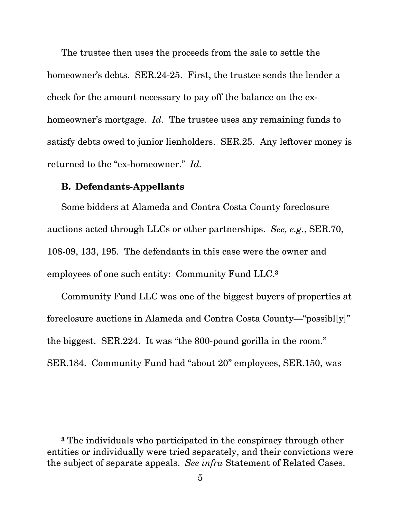<span id="page-13-0"></span>The trustee then uses the proceeds from the sale to settle the homeowner's debts. SER.24-25. First, the trustee sends the lender a check for the amount necessary to pay off the balance on the exhomeowner's mortgage. *Id.* The trustee uses any remaining funds to satisfy debts owed to junior lienholders. SER.25. Any leftover money is returned to the "ex-homeowner." *Id.* 

#### **B. Defendants-Appellants**

l

 employees of one such entity: Community Fund LLC.**<sup>3</sup>** Some bidders at Alameda and Contra Costa County foreclosure auctions acted through LLCs or other partnerships. *See, e.g.*, SER.70, 108-09, 133, 195. The defendants in this case were the owner and

Community Fund LLC was one of the biggest buyers of properties at foreclosure auctions in Alameda and Contra Costa County—"possibl[y]" the biggest. SER.224. It was "the 800-pound gorilla in the room." SER.184. Community Fund had "about 20" employees, SER.150, was

**<sup>3</sup>** The individuals who participated in the conspiracy through other entities or individually were tried separately, and their convictions were the subject of separate appeals. *See infra* Statement of Related Cases.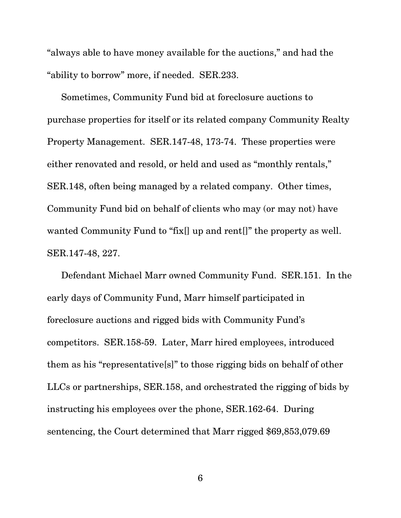"always able to have money available for the auctions," and had the "ability to borrow" more, if needed. SER.233.

Sometimes, Community Fund bid at foreclosure auctions to purchase properties for itself or its related company Community Realty Property Management. SER.147-48, 173-74. These properties were either renovated and resold, or held and used as "monthly rentals," SER.148, often being managed by a related company. Other times, Community Fund bid on behalf of clients who may (or may not) have wanted Community Fund to "fix[] up and rent[]" the property as well. SER.147-48, 227.

Defendant Michael Marr owned Community Fund. SER.151. In the early days of Community Fund, Marr himself participated in foreclosure auctions and rigged bids with Community Fund's competitors. SER.158-59. Later, Marr hired employees, introduced them as his "representative[s]" to those rigging bids on behalf of other LLCs or partnerships, SER.158, and orchestrated the rigging of bids by instructing his employees over the phone, SER.162-64. During sentencing, the Court determined that Marr rigged \$69,853,079.69

6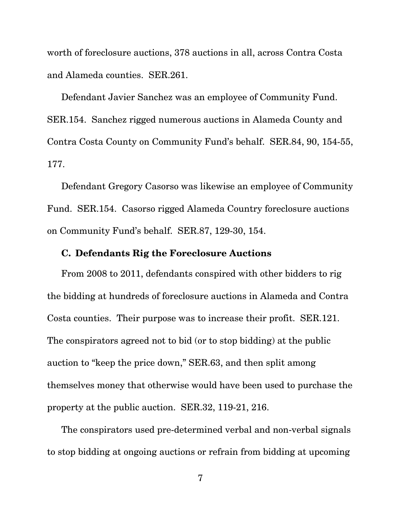<span id="page-15-0"></span>worth of foreclosure auctions, 378 auctions in all, across Contra Costa and Alameda counties. SER.261.

Defendant Javier Sanchez was an employee of Community Fund. SER.154. Sanchez rigged numerous auctions in Alameda County and Contra Costa County on Community Fund's behalf. SER.84, 90, 154-55, 177.

Defendant Gregory Casorso was likewise an employee of Community Fund. SER.154. Casorso rigged Alameda Country foreclosure auctions on Community Fund's behalf. SER.87, 129-30, 154.

### **C. Defendants Rig the Foreclosure Auctions**

From 2008 to 2011, defendants conspired with other bidders to rig the bidding at hundreds of foreclosure auctions in Alameda and Contra Costa counties. Their purpose was to increase their profit. SER.121. The conspirators agreed not to bid (or to stop bidding) at the public auction to "keep the price down," SER.63, and then split among themselves money that otherwise would have been used to purchase the property at the public auction. SER.32, 119-21, 216.

The conspirators used pre-determined verbal and non-verbal signals to stop bidding at ongoing auctions or refrain from bidding at upcoming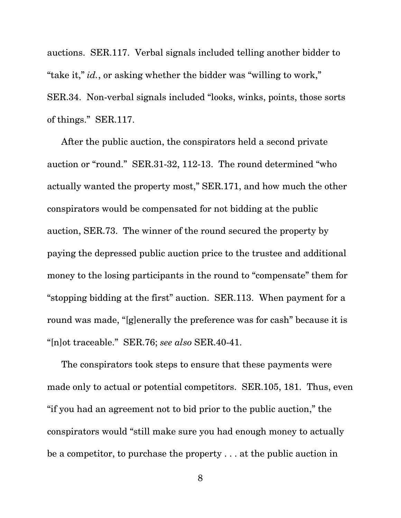auctions. SER.117. Verbal signals included telling another bidder to "take it," *id.*, or asking whether the bidder was "willing to work," SER.34. Non-verbal signals included "looks, winks, points, those sorts of things." SER.117.

After the public auction, the conspirators held a second private auction or "round." SER.31-32, 112-13. The round determined "who actually wanted the property most," SER.171, and how much the other conspirators would be compensated for not bidding at the public auction, SER.73. The winner of the round secured the property by paying the depressed public auction price to the trustee and additional money to the losing participants in the round to "compensate" them for "stopping bidding at the first" auction. SER.113. When payment for a round was made, "[g]enerally the preference was for cash" because it is "[n]ot traceable." SER.76; *see also* SER.40-41.

The conspirators took steps to ensure that these payments were made only to actual or potential competitors. SER.105, 181. Thus, even "if you had an agreement not to bid prior to the public auction," the conspirators would "still make sure you had enough money to actually be a competitor, to purchase the property . . . at the public auction in

8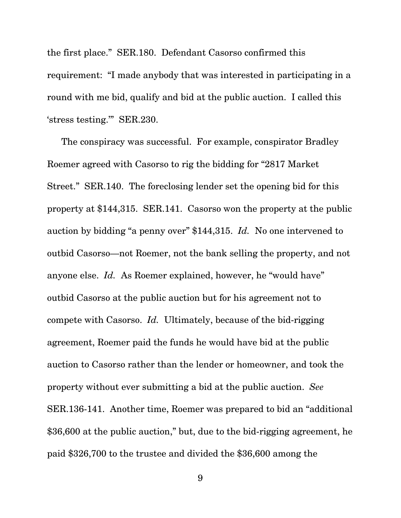the first place." SER.180. Defendant Casorso confirmed this requirement: "I made anybody that was interested in participating in a round with me bid, qualify and bid at the public auction. I called this 'stress testing.'" SER.230.

The conspiracy was successful. For example, conspirator Bradley Roemer agreed with Casorso to rig the bidding for "2817 Market Street." SER.140. The foreclosing lender set the opening bid for this property at \$144,315. SER.141. Casorso won the property at the public auction by bidding "a penny over" \$144,315. *Id.* No one intervened to outbid Casorso—not Roemer, not the bank selling the property, and not anyone else. *Id.* As Roemer explained, however, he "would have" outbid Casorso at the public auction but for his agreement not to compete with Casorso. *Id.* Ultimately, because of the bid-rigging agreement, Roemer paid the funds he would have bid at the public auction to Casorso rather than the lender or homeowner, and took the property without ever submitting a bid at the public auction. *See*  SER.136-141. Another time, Roemer was prepared to bid an "additional \$36,600 at the public auction," but, due to the bid-rigging agreement, he paid \$326,700 to the trustee and divided the \$36,600 among the

9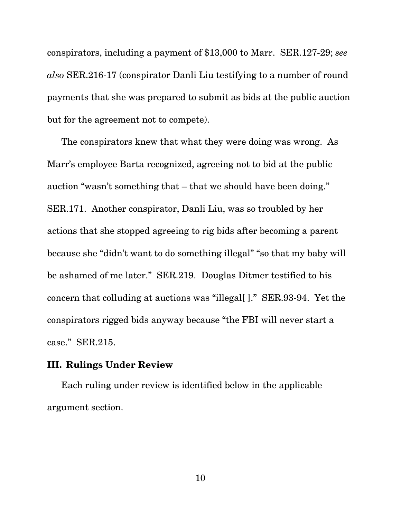<span id="page-18-0"></span>conspirators, including a payment of \$13,000 to Marr. SER.127-29; *see also* SER.216-17 (conspirator Danli Liu testifying to a number of round payments that she was prepared to submit as bids at the public auction but for the agreement not to compete).

The conspirators knew that what they were doing was wrong. As Marr's employee Barta recognized, agreeing not to bid at the public auction "wasn't something that – that we should have been doing." SER.171. Another conspirator, Danli Liu, was so troubled by her actions that she stopped agreeing to rig bids after becoming a parent because she "didn't want to do something illegal" "so that my baby will be ashamed of me later." SER.219. Douglas Ditmer testified to his concern that colluding at auctions was "illegal[ ]." SER.93-94. Yet the conspirators rigged bids anyway because "the FBI will never start a case." SER.215.

### **III. Rulings Under Review**

Each ruling under review is identified below in the applicable argument section.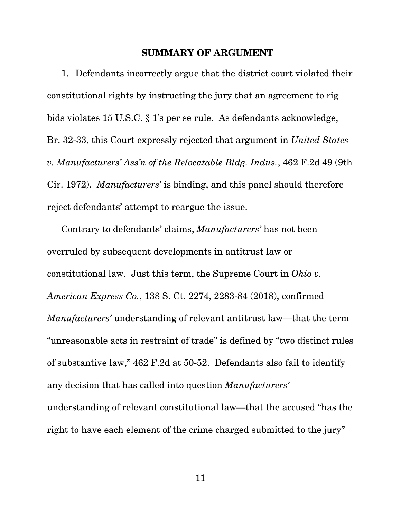#### **SUMMARY OF ARGUMENT**

<span id="page-19-0"></span>1. Defendants incorrectly argue that the district court violated their constitutional rights by instructing the jury that an agreement to rig bids violates 15 U.S.C. § 1's per se rule. As defendants acknowledge, Br. 32-33, this Court expressly rejected that argument in *United States v. Manufacturers' Ass'n of the Relocatable Bldg. Indus.*, 462 F.2d 49 (9th Cir. 1972). *Manufacturers'* is binding, and this panel should therefore reject defendants' attempt to reargue the issue.

Contrary to defendants' claims, *Manufacturers'* has not been overruled by subsequent developments in antitrust law or constitutional law. Just this term, the Supreme Court in *Ohio v. American Express Co.*, 138 S. Ct. 2274, 2283-84 (2018), confirmed *Manufacturers'* understanding of relevant antitrust law—that the term "unreasonable acts in restraint of trade" is defined by "two distinct rules of substantive law," 462 F.2d at 50-52. Defendants also fail to identify any decision that has called into question *Manufacturers'*  understanding of relevant constitutional law—that the accused "has the right to have each element of the crime charged submitted to the jury"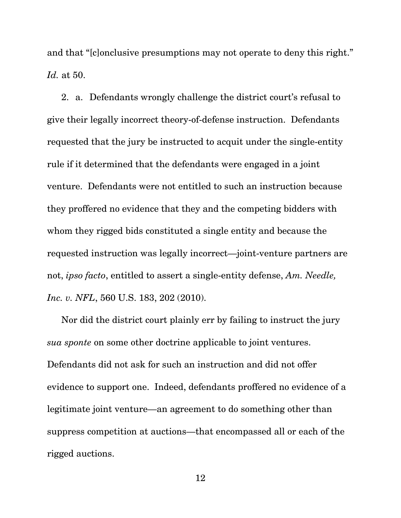and that "[c]onclusive presumptions may not operate to deny this right." *Id.* at 50.

2. a. Defendants wrongly challenge the district court's refusal to give their legally incorrect theory-of-defense instruction. Defendants requested that the jury be instructed to acquit under the single-entity rule if it determined that the defendants were engaged in a joint venture. Defendants were not entitled to such an instruction because they proffered no evidence that they and the competing bidders with whom they rigged bids constituted a single entity and because the requested instruction was legally incorrect—joint-venture partners are not, *ipso facto*, entitled to assert a single-entity defense, *Am. Needle, Inc. v. NFL*, 560 U.S. 183, 202 (2010).

Nor did the district court plainly err by failing to instruct the jury *sua sponte* on some other doctrine applicable to joint ventures. Defendants did not ask for such an instruction and did not offer evidence to support one. Indeed, defendants proffered no evidence of a legitimate joint venture—an agreement to do something other than suppress competition at auctions—that encompassed all or each of the rigged auctions.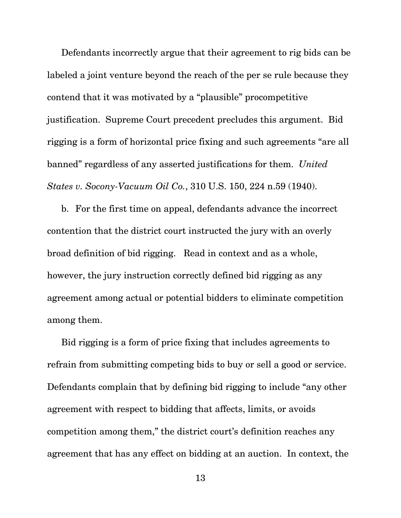Defendants incorrectly argue that their agreement to rig bids can be labeled a joint venture beyond the reach of the per se rule because they contend that it was motivated by a "plausible" procompetitive justification. Supreme Court precedent precludes this argument. Bid rigging is a form of horizontal price fixing and such agreements "are all banned" regardless of any asserted justifications for them. *United States v. Socony-Vacuum Oil Co.*, 310 U.S. 150, 224 n.59 (1940).

b. For the first time on appeal, defendants advance the incorrect contention that the district court instructed the jury with an overly broad definition of bid rigging. Read in context and as a whole, however, the jury instruction correctly defined bid rigging as any agreement among actual or potential bidders to eliminate competition among them.

Bid rigging is a form of price fixing that includes agreements to refrain from submitting competing bids to buy or sell a good or service. Defendants complain that by defining bid rigging to include "any other agreement with respect to bidding that affects, limits, or avoids competition among them," the district court's definition reaches any agreement that has any effect on bidding at an auction. In context, the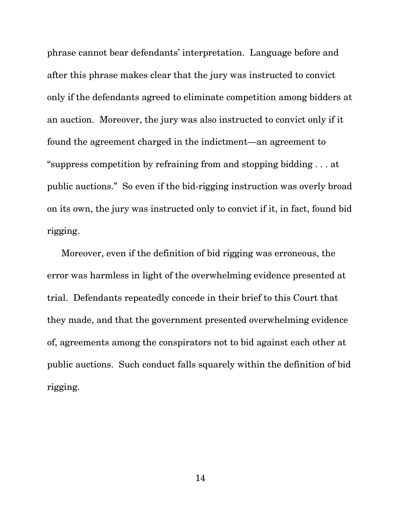phrase cannot bear defendants' interpretation. Language before and after this phrase makes clear that the jury was instructed to convict only if the defendants agreed to eliminate competition among bidders at an auction. Moreover, the jury was also instructed to convict only if it found the agreement charged in the indictment—an agreement to "suppress competition by refraining from and stopping bidding . . . at public auctions." So even if the bid-rigging instruction was overly broad on its own, the jury was instructed only to convict if it, in fact, found bid rigging.

Moreover, even if the definition of bid rigging was erroneous, the error was harmless in light of the overwhelming evidence presented at trial. Defendants repeatedly concede in their brief to this Court that they made, and that the government presented overwhelming evidence of, agreements among the conspirators not to bid against each other at public auctions. Such conduct falls squarely within the definition of bid rigging.

14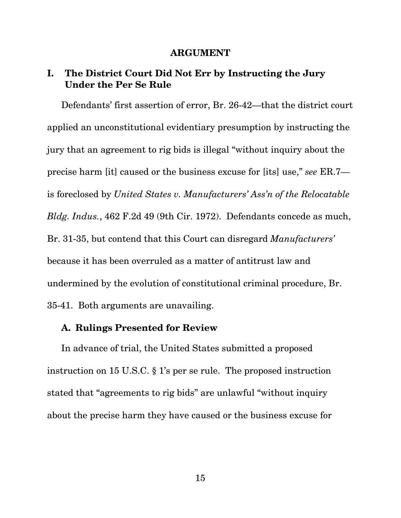#### **ARGUMENT**

## <span id="page-23-0"></span>**I. The District Court Did Not Err by Instructing the Jury Under the Per Se Rule**

Defendants' first assertion of error, Br. 26-42—that the district court applied an unconstitutional evidentiary presumption by instructing the jury that an agreement to rig bids is illegal "without inquiry about the precise harm [it] caused or the business excuse for [its] use," *see* ER.7 is foreclosed by *United States v. Manufacturers' Ass'n of the Relocatable Bldg. Indus.*, 462 F.2d 49 (9th Cir. 1972). Defendants concede as much, Br. 31-35, but contend that this Court can disregard *Manufacturers'*  because it has been overruled as a matter of antitrust law and undermined by the evolution of constitutional criminal procedure, Br. 35-41. Both arguments are unavailing.

### **A. Rulings Presented for Review**

In advance of trial, the United States submitted a proposed instruction on 15 U.S.C. § 1's per se rule. The proposed instruction stated that "agreements to rig bids" are unlawful "without inquiry about the precise harm they have caused or the business excuse for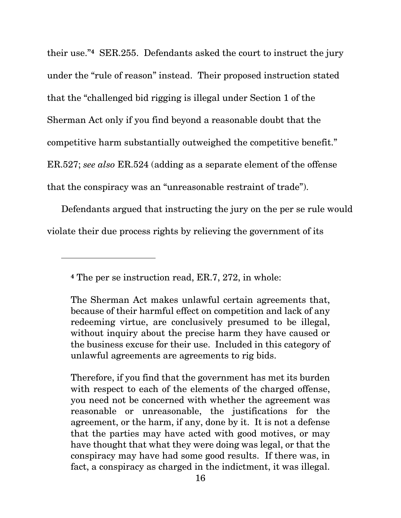their use."**4** SER.255. Defendants asked the court to instruct the jury under the "rule of reason" instead. Their proposed instruction stated that the "challenged bid rigging is illegal under Section 1 of the Sherman Act only if you find beyond a reasonable doubt that the competitive harm substantially outweighed the competitive benefit." ER.527; *see also* ER.524 (adding as a separate element of the offense that the conspiracy was an "unreasonable restraint of trade").

Defendants argued that instructing the jury on the per se rule would violate their due process rights by relieving the government of its

l

Therefore, if you find that the government has met its burden with respect to each of the elements of the charged offense, you need not be concerned with whether the agreement was reasonable or unreasonable, the justifications for the agreement, or the harm, if any, done by it. It is not a defense that the parties may have acted with good motives, or may have thought that what they were doing was legal, or that the conspiracy may have had some good results. If there was, in fact, a conspiracy as charged in the indictment, it was illegal.

**<sup>4</sup>** The per se instruction read, ER.7, 272, in whole:

The Sherman Act makes unlawful certain agreements that, because of their harmful effect on competition and lack of any redeeming virtue, are conclusively presumed to be illegal, without inquiry about the precise harm they have caused or the business excuse for their use. Included in this category of unlawful agreements are agreements to rig bids.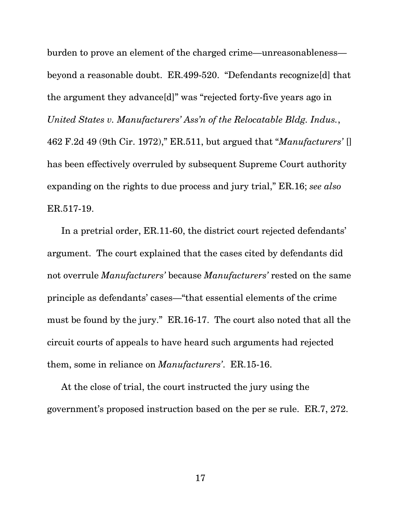burden to prove an element of the charged crime—unreasonableness beyond a reasonable doubt. ER.499-520. "Defendants recognize[d] that the argument they advance[d]" was "rejected forty-five years ago in *United States v. Manufacturers' Ass'n of the Relocatable Bldg. Indus.*, 462 F.2d 49 (9th Cir. 1972)," ER.511, but argued that "*Manufacturers'* [] has been effectively overruled by subsequent Supreme Court authority expanding on the rights to due process and jury trial," ER.16; *see also*  ER.517-19.

In a pretrial order, ER.11-60, the district court rejected defendants' argument. The court explained that the cases cited by defendants did not overrule *Manufacturers'* because *Manufacturers'* rested on the same principle as defendants' cases—"that essential elements of the crime must be found by the jury." ER.16-17. The court also noted that all the circuit courts of appeals to have heard such arguments had rejected them, some in reliance on *Manufacturers'*. ER.15-16.

At the close of trial, the court instructed the jury using the government's proposed instruction based on the per se rule. ER.7, 272.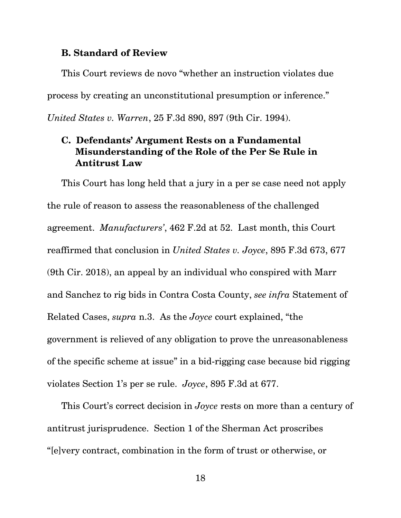### <span id="page-26-0"></span>**B. Standard of Review**

This Court reviews de novo "whether an instruction violates due process by creating an unconstitutional presumption or inference." *United States v. Warren*, 25 F.3d 890, 897 (9th Cir. 1994).

## **C. Defendants' Argument Rests on a Fundamental Misunderstanding of the Role of the Per Se Rule in Antitrust Law**

This Court has long held that a jury in a per se case need not apply the rule of reason to assess the reasonableness of the challenged agreement. *Manufacturers'*, 462 F.2d at 52. Last month, this Court reaffirmed that conclusion in *United States v. Joyce*, 895 F.3d 673, 677 (9th Cir. 2018), an appeal by an individual who conspired with Marr and Sanchez to rig bids in Contra Costa County, *see infra* Statement of Related Cases, *supra* n.3. As the *Joyce* court explained, "the government is relieved of any obligation to prove the unreasonableness of the specific scheme at issue" in a bid-rigging case because bid rigging violates Section 1's per se rule. *Joyce*, 895 F.3d at 677.

This Court's correct decision in *Joyce* rests on more than a century of antitrust jurisprudence. Section 1 of the Sherman Act proscribes "[e]very contract, combination in the form of trust or otherwise, or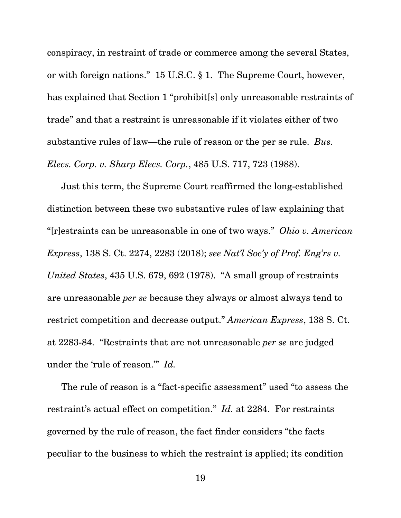<span id="page-27-0"></span>conspiracy, in restraint of trade or commerce among the several States, or with foreign nations." 15 U.S.C. § 1. The Supreme Court, however, has explained that Section 1 "prohibit[s] only unreasonable restraints of trade" and that a restraint is unreasonable if it violates either of two substantive rules of law—the rule of reason or the per se rule. *Bus. Elecs. Corp. v. Sharp Elecs. Corp.*, 485 U.S. 717, 723 (1988).

Just this term, the Supreme Court reaffirmed the long-established distinction between these two substantive rules of law explaining that "[r]estraints can be unreasonable in one of two ways." *Ohio v. American Express*, 138 S. Ct. 2274, 2283 (2018); *see Nat'l Soc'y of Prof. Eng'rs v. United States*, 435 U.S. 679, 692 (1978). "A small group of restraints are unreasonable *per se* because they always or almost always tend to restrict competition and decrease output." *American Express*, 138 S. Ct. at 2283-84. "Restraints that are not unreasonable *per se* are judged under the 'rule of reason.'" *Id.* 

The rule of reason is a "fact-specific assessment" used "to assess the restraint's actual effect on competition." *Id.* at 2284. For restraints governed by the rule of reason, the fact finder considers "the facts peculiar to the business to which the restraint is applied; its condition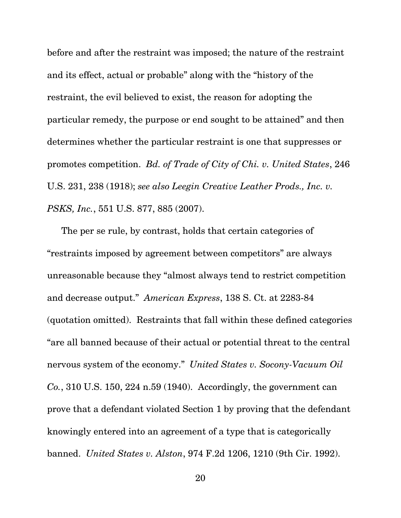<span id="page-28-0"></span>before and after the restraint was imposed; the nature of the restraint and its effect, actual or probable" along with the "history of the restraint, the evil believed to exist, the reason for adopting the particular remedy, the purpose or end sought to be attained" and then determines whether the particular restraint is one that suppresses or promotes competition. *Bd. of Trade of City of Chi. v. United States*, 246 U.S. 231, 238 (1918); *see also Leegin Creative Leather Prods., Inc. v. PSKS, Inc.*, 551 U.S. 877, 885 (2007).

The per se rule, by contrast, holds that certain categories of "restraints imposed by agreement between competitors" are always unreasonable because they "almost always tend to restrict competition and decrease output." *American Express*, 138 S. Ct. at 2283-84 (quotation omitted). Restraints that fall within these defined categories "are all banned because of their actual or potential threat to the central nervous system of the economy." *United States v. Socony-Vacuum Oil Co.*, 310 U.S. 150, 224 n.59 (1940). Accordingly, the government can prove that a defendant violated Section 1 by proving that the defendant knowingly entered into an agreement of a type that is categorically banned. *United States v. Alston*, 974 F.2d 1206, 1210 (9th Cir. 1992).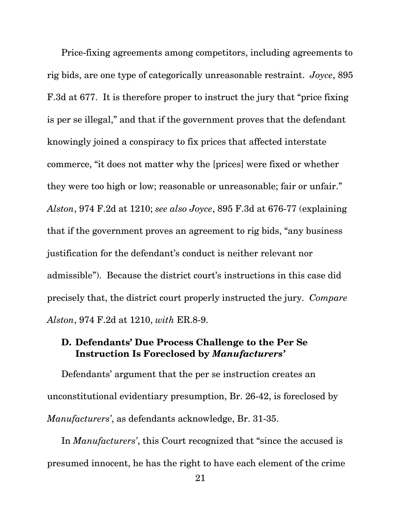<span id="page-29-0"></span>Price-fixing agreements among competitors, including agreements to rig bids, are one type of categorically unreasonable restraint. *Joyce*, 895 F.3d at 677. It is therefore proper to instruct the jury that "price fixing is per se illegal," and that if the government proves that the defendant knowingly joined a conspiracy to fix prices that affected interstate commerce, "it does not matter why the [prices] were fixed or whether they were too high or low; reasonable or unreasonable; fair or unfair." *Alston*, 974 F.2d at 1210; *see also Joyce*, 895 F.3d at 676-77 (explaining that if the government proves an agreement to rig bids, "any business justification for the defendant's conduct is neither relevant nor admissible"). Because the district court's instructions in this case did precisely that, the district court properly instructed the jury. *Compare Alston*, 974 F.2d at 1210, *with* ER.8-9.

## **Instruction Is Foreclosed by** *Manufacturers'* **D. Defendants' Due Process Challenge to the Per Se**

Defendants' argument that the per se instruction creates an unconstitutional evidentiary presumption, Br. 26-42, is foreclosed by *Manufacturers'*, as defendants acknowledge, Br. 31-35.

In *Manufacturers'*, this Court recognized that "since the accused is presumed innocent, he has the right to have each element of the crime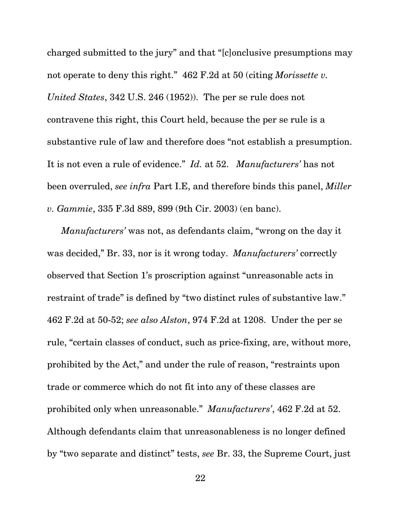charged submitted to the jury" and that "[c]onclusive presumptions may not operate to deny this right." 462 F.2d at 50 (citing *Morissette v. United States*, 342 U.S. 246 (1952)). The per se rule does not contravene this right, this Court held, because the per se rule is a substantive rule of law and therefore does "not establish a presumption. It is not even a rule of evidence." *Id.* at 52. *Manufacturers'* has not been overruled, *see infra* Part I.E, and therefore binds this panel, *Miller v. Gammie*, 335 F.3d 889, 899 (9th Cir. 2003) (en banc).

*Manufacturers'* was not, as defendants claim, "wrong on the day it was decided," Br. 33, nor is it wrong today. *Manufacturers'* correctly observed that Section 1's proscription against "unreasonable acts in restraint of trade" is defined by "two distinct rules of substantive law." 462 F.2d at 50-52; *see also Alston*, 974 F.2d at 1208. Under the per se rule, "certain classes of conduct, such as price-fixing, are, without more, prohibited by the Act," and under the rule of reason, "restraints upon trade or commerce which do not fit into any of these classes are prohibited only when unreasonable." *Manufacturers'*, 462 F.2d at 52. Although defendants claim that unreasonableness is no longer defined by "two separate and distinct" tests, *see* Br. 33, the Supreme Court, just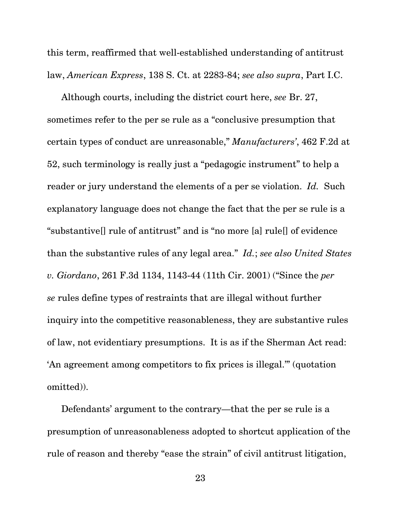this term, reaffirmed that well-established understanding of antitrust law, *American Express*, 138 S. Ct. at 2283-84; *see also supra*, Part I.C.

Although courts, including the district court here, *see* Br. 27, sometimes refer to the per se rule as a "conclusive presumption that certain types of conduct are unreasonable," *Manufacturers'*, 462 F.2d at 52, such terminology is really just a "pedagogic instrument" to help a reader or jury understand the elements of a per se violation. *Id.* Such explanatory language does not change the fact that the per se rule is a "substantive[] rule of antitrust" and is "no more [a] rule[] of evidence than the substantive rules of any legal area." *Id.*; *see also United States v. Giordano*, 261 F.3d 1134, 1143-44 (11th Cir. 2001) ("Since the *per se* rules define types of restraints that are illegal without further inquiry into the competitive reasonableness, they are substantive rules of law, not evidentiary presumptions. It is as if the Sherman Act read: 'An agreement among competitors to fix prices is illegal.'" (quotation omitted)).

Defendants' argument to the contrary—that the per se rule is a presumption of unreasonableness adopted to shortcut application of the rule of reason and thereby "ease the strain" of civil antitrust litigation,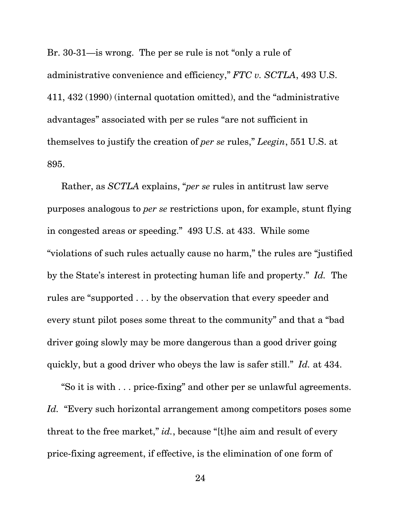Br. 30-31—is wrong. The per se rule is not "only a rule of administrative convenience and efficiency," *FTC v. SCTLA*, 493 U.S. 411, 432 (1990) (internal quotation omitted), and the "administrative advantages" associated with per se rules "are not sufficient in themselves to justify the creation of *per se* rules," *Leegin*, 551 U.S. at 895.

Rather, as *SCTLA* explains, "*per se* rules in antitrust law serve purposes analogous to *per se* restrictions upon, for example, stunt flying in congested areas or speeding." 493 U.S. at 433. While some "violations of such rules actually cause no harm," the rules are "justified by the State's interest in protecting human life and property." *Id.* The rules are "supported . . . by the observation that every speeder and every stunt pilot poses some threat to the community" and that a "bad driver going slowly may be more dangerous than a good driver going quickly, but a good driver who obeys the law is safer still." *Id.* at 434.

"So it is with . . . price-fixing" and other per se unlawful agreements. *Id.* "Every such horizontal arrangement among competitors poses some threat to the free market," *id.*, because "[t]he aim and result of every price-fixing agreement, if effective, is the elimination of one form of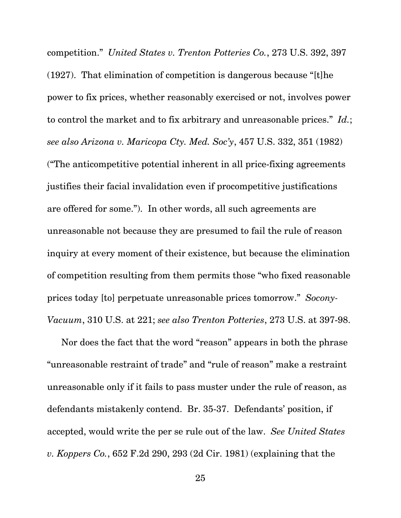<span id="page-33-0"></span>competition." *United States v. Trenton Potteries Co.*, 273 U.S. 392, 397 (1927). That elimination of competition is dangerous because "[t]he power to fix prices, whether reasonably exercised or not, involves power to control the market and to fix arbitrary and unreasonable prices." *Id.*; *see also Arizona v. Maricopa Cty. Med. Soc'y*, 457 U.S. 332, 351 (1982) ("The anticompetitive potential inherent in all price-fixing agreements justifies their facial invalidation even if procompetitive justifications are offered for some."). In other words, all such agreements are unreasonable not because they are presumed to fail the rule of reason inquiry at every moment of their existence, but because the elimination of competition resulting from them permits those "who fixed reasonable prices today [to] perpetuate unreasonable prices tomorrow." *Socony-Vacuum*, 310 U.S. at 221; *see also Trenton Potteries*, 273 U.S. at 397-98.

Nor does the fact that the word "reason" appears in both the phrase "unreasonable restraint of trade" and "rule of reason" make a restraint unreasonable only if it fails to pass muster under the rule of reason, as defendants mistakenly contend. Br. 35-37. Defendants' position, if accepted, would write the per se rule out of the law. *See United States v. Koppers Co.*, 652 F.2d 290, 293 (2d Cir. 1981) (explaining that the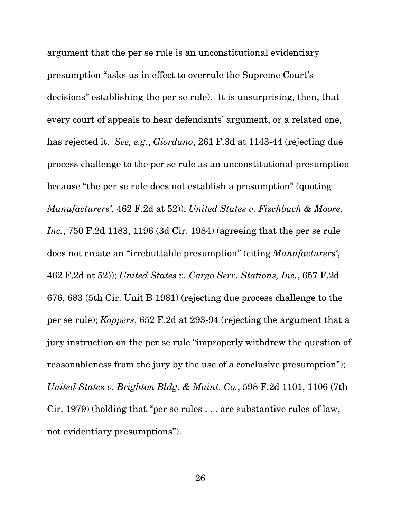<span id="page-34-0"></span>argument that the per se rule is an unconstitutional evidentiary presumption "asks us in effect to overrule the Supreme Court's decisions" establishing the per se rule). It is unsurprising, then, that every court of appeals to hear defendants' argument, or a related one, has rejected it. *See, e.g.*, *Giordano*, 261 F.3d at 1143-44 (rejecting due process challenge to the per se rule as an unconstitutional presumption because "the per se rule does not establish a presumption" (quoting *Manufacturers'*, 462 F.2d at 52)); *United States v. Fischbach & Moore, Inc.*, 750 F.2d 1183, 1196 (3d Cir. 1984) (agreeing that the per se rule does not create an "irrebuttable presumption" (citing *Manufacturers'*, 462 F.2d at 52)); *United States v. Cargo Serv. Stations, Inc.*, 657 F.2d 676, 683 (5th Cir. Unit B 1981) (rejecting due process challenge to the per se rule); *Koppers*, 652 F.2d at 293-94 (rejecting the argument that a jury instruction on the per se rule "improperly withdrew the question of reasonableness from the jury by the use of a conclusive presumption"); *United States v. Brighton Bldg. & Maint. Co.*, 598 F.2d 1101, 1106 (7th Cir. 1979) (holding that "per se rules . . . are substantive rules of law, not evidentiary presumptions").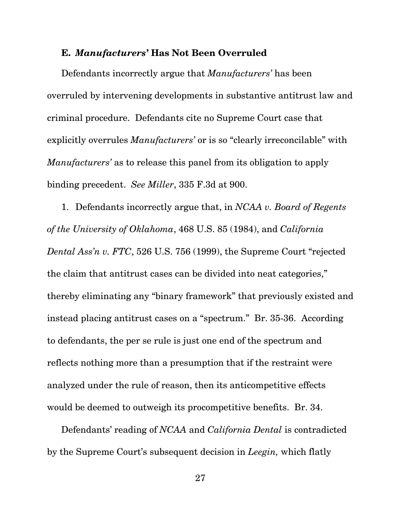### <span id="page-35-0"></span>**E.** *Manufacturers'* **Has Not Been Overruled**

Defendants incorrectly argue that *Manufacturers'* has been overruled by intervening developments in substantive antitrust law and criminal procedure. Defendants cite no Supreme Court case that explicitly overrules *Manufacturers'* or is so "clearly irreconcilable" with *Manufacturers'* as to release this panel from its obligation to apply binding precedent. *See Miller*, 335 F.3d at 900.

1. Defendants incorrectly argue that, in *NCAA v. Board of Regents of the University of Oklahoma*, 468 U.S. 85 (1984), and *California Dental Ass'n v. FTC*, 526 U.S. 756 (1999), the Supreme Court "rejected the claim that antitrust cases can be divided into neat categories," thereby eliminating any "binary framework" that previously existed and instead placing antitrust cases on a "spectrum." Br. 35-36. According to defendants, the per se rule is just one end of the spectrum and reflects nothing more than a presumption that if the restraint were analyzed under the rule of reason, then its anticompetitive effects would be deemed to outweigh its procompetitive benefits. Br. 34.

Defendants' reading of *NCAA* and *California Dental* is contradicted by the Supreme Court's subsequent decision in *Leegin,* which flatly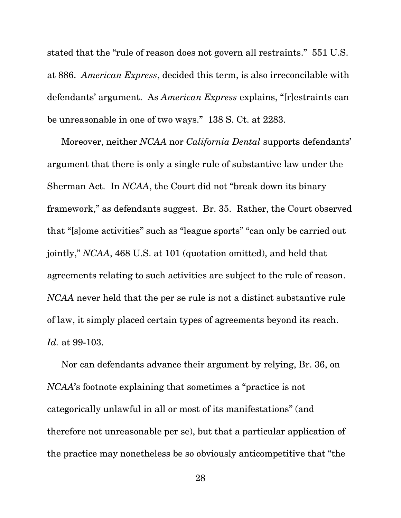stated that the "rule of reason does not govern all restraints." 551 U.S. at 886. *American Express*, decided this term, is also irreconcilable with defendants' argument. As *American Express* explains, "[r]estraints can be unreasonable in one of two ways." 138 S. Ct. at 2283.

Moreover, neither *NCAA* nor *California Dental* supports defendants' argument that there is only a single rule of substantive law under the Sherman Act. In *NCAA*, the Court did not "break down its binary framework," as defendants suggest. Br. 35. Rather, the Court observed that "[s]ome activities" such as "league sports" "can only be carried out jointly," *NCAA*, 468 U.S. at 101 (quotation omitted), and held that agreements relating to such activities are subject to the rule of reason. *NCAA* never held that the per se rule is not a distinct substantive rule of law, it simply placed certain types of agreements beyond its reach. *Id.* at 99-103.

Nor can defendants advance their argument by relying, Br. 36, on *NCAA*'s footnote explaining that sometimes a "practice is not categorically unlawful in all or most of its manifestations" (and therefore not unreasonable per se), but that a particular application of the practice may nonetheless be so obviously anticompetitive that "the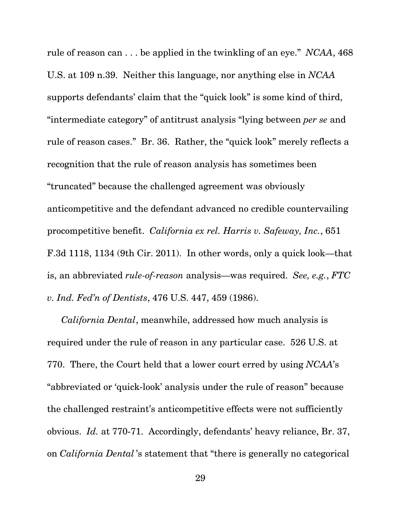rule of reason can . . . be applied in the twinkling of an eye." *NCAA*, 468 U.S. at 109 n.39. Neither this language, nor anything else in *NCAA*  supports defendants' claim that the "quick look" is some kind of third, "intermediate category" of antitrust analysis "lying between *per se* and rule of reason cases." Br. 36. Rather, the "quick look" merely reflects a recognition that the rule of reason analysis has sometimes been "truncated" because the challenged agreement was obviously anticompetitive and the defendant advanced no credible countervailing procompetitive benefit. *California ex rel. Harris v. Safeway, Inc.*, 651 F.3d 1118, 1134 (9th Cir. 2011). In other words, only a quick look—that is, an abbreviated *rule-of-reason* analysis—was required. *See, e.g.*, *FTC v. Ind. Fed'n of Dentists*, 476 U.S. 447, 459 (1986).

*California Dental*, meanwhile, addressed how much analysis is required under the rule of reason in any particular case. 526 U.S. at 770. There, the Court held that a lower court erred by using *NCAA*'s "abbreviated or 'quick-look' analysis under the rule of reason" because the challenged restraint's anticompetitive effects were not sufficiently obvious. *Id.* at 770-71. Accordingly, defendants' heavy reliance, Br. 37, on *California Dental* 's statement that "there is generally no categorical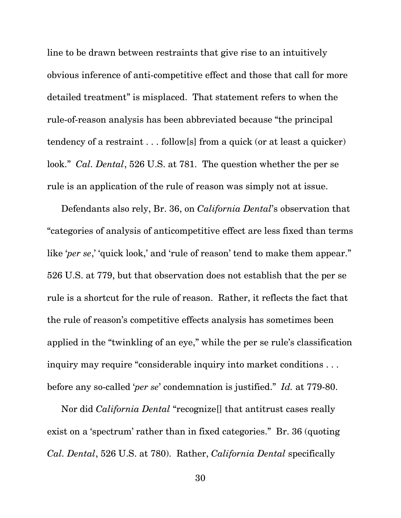line to be drawn between restraints that give rise to an intuitively obvious inference of anti-competitive effect and those that call for more detailed treatment" is misplaced. That statement refers to when the rule-of-reason analysis has been abbreviated because "the principal tendency of a restraint . . . follow[s] from a quick (or at least a quicker) look." *Cal. Dental*, 526 U.S. at 781. The question whether the per se rule is an application of the rule of reason was simply not at issue.

Defendants also rely, Br. 36, on *California Dental*'s observation that "categories of analysis of anticompetitive effect are less fixed than terms like '*per se*,' 'quick look,' and 'rule of reason' tend to make them appear." 526 U.S. at 779, but that observation does not establish that the per se rule is a shortcut for the rule of reason. Rather, it reflects the fact that the rule of reason's competitive effects analysis has sometimes been applied in the "twinkling of an eye," while the per se rule's classification inquiry may require "considerable inquiry into market conditions . . . before any so-called '*per se*' condemnation is justified." *Id.* at 779-80.

Nor did *California Dental* "recognize[] that antitrust cases really exist on a 'spectrum' rather than in fixed categories." Br. 36 (quoting *Cal. Dental*, 526 U.S. at 780). Rather, *California Dental* specifically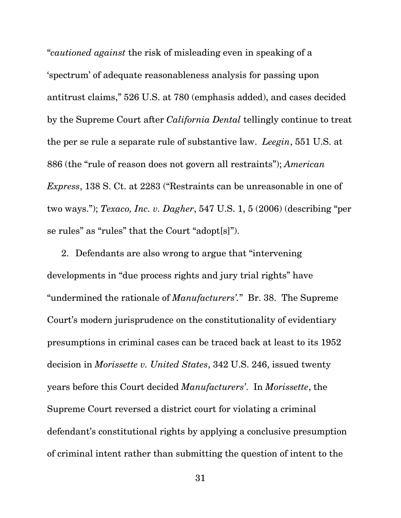"*cautioned against* the risk of misleading even in speaking of a 'spectrum' of adequate reasonableness analysis for passing upon antitrust claims," 526 U.S. at 780 (emphasis added), and cases decided by the Supreme Court after *California Dental* tellingly continue to treat the per se rule a separate rule of substantive law. *Leegin*, 551 U.S. at 886 (the "rule of reason does not govern all restraints"); *American Express*, 138 S. Ct. at 2283 ("Restraints can be unreasonable in one of two ways."); *Texaco, Inc. v. Dagher*, 547 U.S. 1, 5 (2006) (describing "per se rules" as "rules" that the Court "adopt[s]").

2. Defendants are also wrong to argue that "intervening developments in "due process rights and jury trial rights" have "undermined the rationale of *Manufacturers'.*" Br. 38. The Supreme Court's modern jurisprudence on the constitutionality of evidentiary presumptions in criminal cases can be traced back at least to its 1952 decision in *Morissette v. United States*, 342 U.S. 246, issued twenty years before this Court decided *Manufacturers'*. In *Morissette*, the Supreme Court reversed a district court for violating a criminal defendant's constitutional rights by applying a conclusive presumption of criminal intent rather than submitting the question of intent to the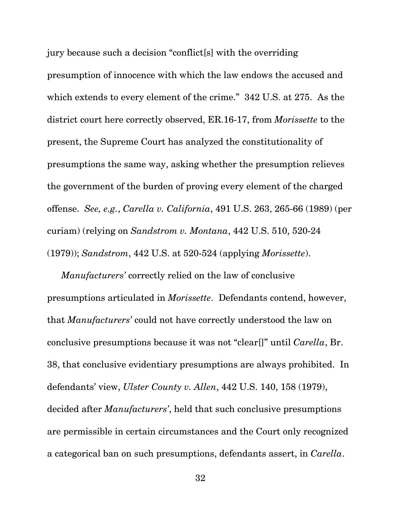jury because such a decision "conflict[s] with the overriding presumption of innocence with which the law endows the accused and which extends to every element of the crime." 342 U.S. at 275. As the district court here correctly observed, ER.16-17, from *Morissette* to the present, the Supreme Court has analyzed the constitutionality of presumptions the same way, asking whether the presumption relieves the government of the burden of proving every element of the charged offense. *See, e.g.*, *Carella v. California*, 491 U.S. 263, 265-66 (1989) (per curiam) (relying on *Sandstrom v. Montana*, 442 U.S. 510, 520-24 (1979)); *Sandstrom*, 442 U.S. at 520-524 (applying *Morissette*).

*Manufacturers'* correctly relied on the law of conclusive presumptions articulated in *Morissette*. Defendants contend, however, that *Manufacturers'* could not have correctly understood the law on conclusive presumptions because it was not "clear[]" until *Carella*, Br. 38, that conclusive evidentiary presumptions are always prohibited. In defendants' view, *Ulster County v. Allen*, 442 U.S. 140, 158 (1979), decided after *Manufacturers'*, held that such conclusive presumptions are permissible in certain circumstances and the Court only recognized a categorical ban on such presumptions, defendants assert, in *Carella*.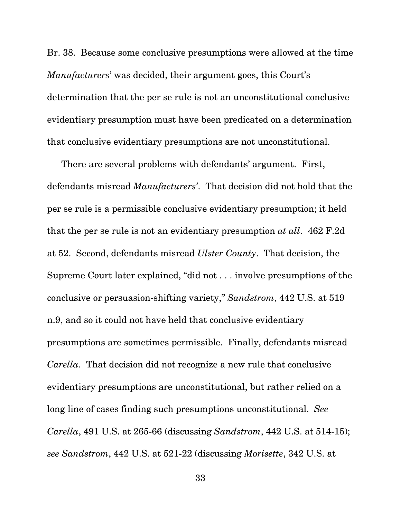Br. 38. Because some conclusive presumptions were allowed at the time *Manufacturers*' was decided, their argument goes, this Court's determination that the per se rule is not an unconstitutional conclusive evidentiary presumption must have been predicated on a determination that conclusive evidentiary presumptions are not unconstitutional.

There are several problems with defendants' argument. First, defendants misread *Manufacturers'*. That decision did not hold that the per se rule is a permissible conclusive evidentiary presumption; it held that the per se rule is not an evidentiary presumption *at all*. 462 F.2d at 52. Second, defendants misread *Ulster County*. That decision, the Supreme Court later explained, "did not . . . involve presumptions of the conclusive or persuasion-shifting variety," *Sandstrom*, 442 U.S. at 519 n.9, and so it could not have held that conclusive evidentiary presumptions are sometimes permissible. Finally, defendants misread *Carella*. That decision did not recognize a new rule that conclusive evidentiary presumptions are unconstitutional, but rather relied on a long line of cases finding such presumptions unconstitutional. *See Carella*, 491 U.S. at 265-66 (discussing *Sandstrom*, 442 U.S. at 514-15); *see Sandstrom*, 442 U.S. at 521-22 (discussing *Morisette*, 342 U.S. at

33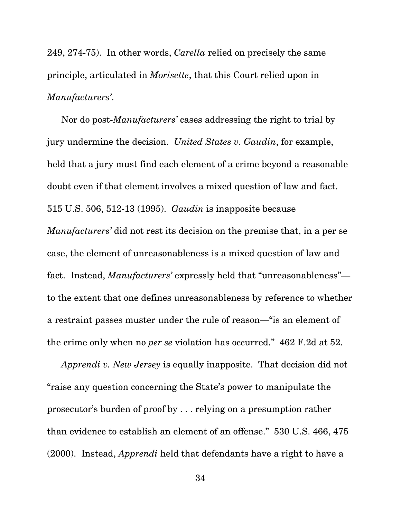249, 274-75). In other words, *Carella* relied on precisely the same principle, articulated in *Morisette*, that this Court relied upon in *Manufacturers'*.

Nor do post-*Manufacturers'* cases addressing the right to trial by jury undermine the decision. *United States v. Gaudin*, for example, held that a jury must find each element of a crime beyond a reasonable doubt even if that element involves a mixed question of law and fact. 515 U.S. 506, 512-13 (1995). *Gaudin* is inapposite because *Manufacturers'* did not rest its decision on the premise that, in a per se case, the element of unreasonableness is a mixed question of law and fact. Instead, *Manufacturers'* expressly held that "unreasonableness" to the extent that one defines unreasonableness by reference to whether a restraint passes muster under the rule of reason—"is an element of the crime only when no *per se* violation has occurred." 462 F.2d at 52.

*Apprendi v. New Jersey* is equally inapposite. That decision did not "raise any question concerning the State's power to manipulate the prosecutor's burden of proof by . . . relying on a presumption rather than evidence to establish an element of an offense." 530 U.S. 466, 475 (2000). Instead, *Apprendi* held that defendants have a right to have a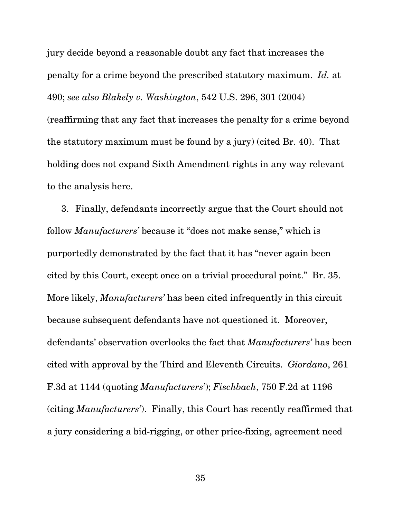jury decide beyond a reasonable doubt any fact that increases the penalty for a crime beyond the prescribed statutory maximum. *Id.* at 490; *see also Blakely v. Washington*, 542 U.S. 296, 301 (2004) (reaffirming that any fact that increases the penalty for a crime beyond the statutory maximum must be found by a jury) (cited Br. 40). That holding does not expand Sixth Amendment rights in any way relevant to the analysis here.

3. Finally, defendants incorrectly argue that the Court should not follow *Manufacturers'* because it "does not make sense," which is purportedly demonstrated by the fact that it has "never again been cited by this Court, except once on a trivial procedural point." Br. 35. More likely, *Manufacturers'* has been cited infrequently in this circuit because subsequent defendants have not questioned it. Moreover, defendants' observation overlooks the fact that *Manufacturers'* has been cited with approval by the Third and Eleventh Circuits. *Giordano*, 261 F.3d at 1144 (quoting *Manufacturers'*); *Fischbach*, 750 F.2d at 1196 (citing *Manufacturers'*). Finally, this Court has recently reaffirmed that a jury considering a bid-rigging, or other price-fixing, agreement need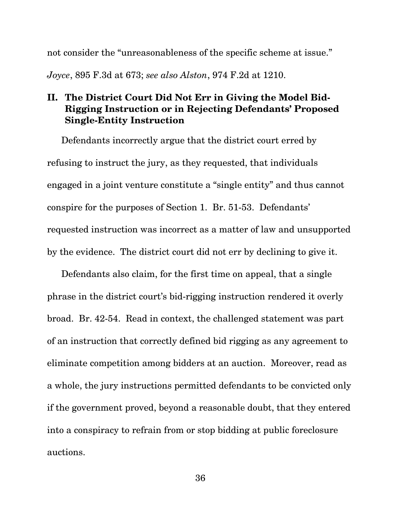not consider the "unreasonableness of the specific scheme at issue."

*Joyce*, 895 F.3d at 673; *see also Alston*, 974 F.2d at 1210.

# **II. The District Court Did Not Err in Giving the Model Bid-Rigging Instruction or in Rejecting Defendants' Proposed Single-Entity Instruction**

Defendants incorrectly argue that the district court erred by refusing to instruct the jury, as they requested, that individuals engaged in a joint venture constitute a "single entity" and thus cannot conspire for the purposes of Section 1. Br. 51-53. Defendants' requested instruction was incorrect as a matter of law and unsupported by the evidence. The district court did not err by declining to give it.

Defendants also claim, for the first time on appeal, that a single phrase in the district court's bid-rigging instruction rendered it overly broad. Br. 42-54. Read in context, the challenged statement was part of an instruction that correctly defined bid rigging as any agreement to eliminate competition among bidders at an auction. Moreover, read as a whole, the jury instructions permitted defendants to be convicted only if the government proved, beyond a reasonable doubt, that they entered into a conspiracy to refrain from or stop bidding at public foreclosure auctions.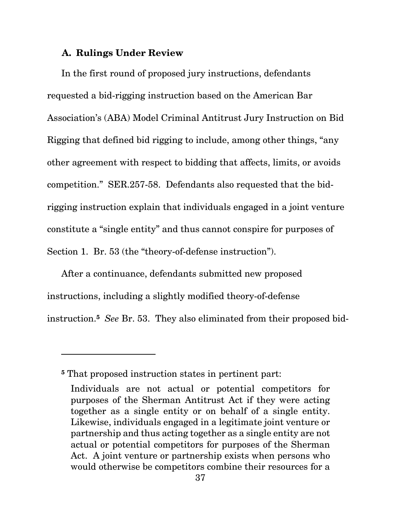### **A. Rulings Under Review**

In the first round of proposed jury instructions, defendants requested a bid-rigging instruction based on the American Bar Association's (ABA) Model Criminal Antitrust Jury Instruction on Bid Rigging that defined bid rigging to include, among other things, "any other agreement with respect to bidding that affects, limits, or avoids competition." SER.257-58. Defendants also requested that the bidrigging instruction explain that individuals engaged in a joint venture constitute a "single entity" and thus cannot conspire for purposes of Section 1. Br. 53 (the "theory-of-defense instruction").

 instruction.**5** *See* Br. 53. They also eliminated from their proposed bid-After a continuance, defendants submitted new proposed instructions, including a slightly modified theory-of-defense

 $\overline{a}$ 

**<sup>5</sup>** That proposed instruction states in pertinent part:

Individuals are not actual or potential competitors for purposes of the Sherman Antitrust Act if they were acting together as a single entity or on behalf of a single entity. Likewise, individuals engaged in a legitimate joint venture or partnership and thus acting together as a single entity are not actual or potential competitors for purposes of the Sherman Act. A joint venture or partnership exists when persons who would otherwise be competitors combine their resources for a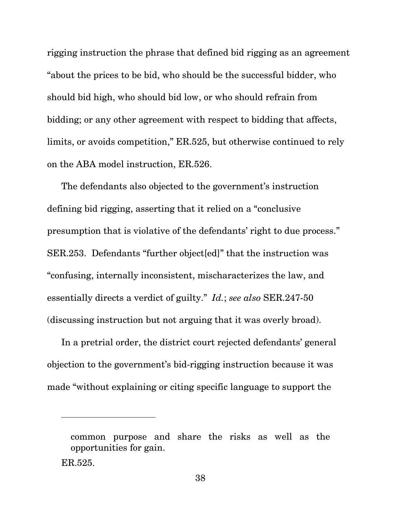rigging instruction the phrase that defined bid rigging as an agreement "about the prices to be bid, who should be the successful bidder, who should bid high, who should bid low, or who should refrain from bidding; or any other agreement with respect to bidding that affects, limits, or avoids competition," ER.525, but otherwise continued to rely on the ABA model instruction, ER.526.

The defendants also objected to the government's instruction defining bid rigging, asserting that it relied on a "conclusive presumption that is violative of the defendants' right to due process." SER.253. Defendants "further object[ed]" that the instruction was "confusing, internally inconsistent, mischaracterizes the law, and essentially directs a verdict of guilty." *Id.*; *see also* SER.247-50 (discussing instruction but not arguing that it was overly broad).

In a pretrial order, the district court rejected defendants' general objection to the government's bid-rigging instruction because it was made "without explaining or citing specific language to support the

common purpose and share the risks as well as the opportunities for gain.

ER.525.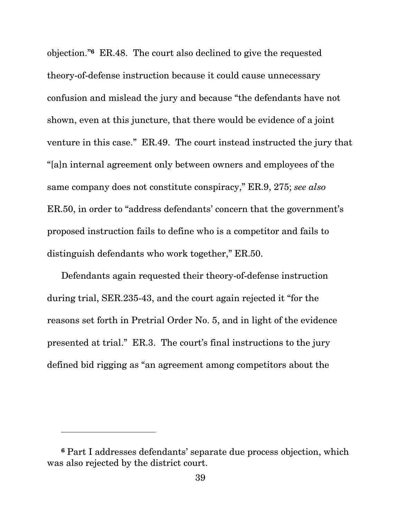objection."**6** ER.48. The court also declined to give the requested theory-of-defense instruction because it could cause unnecessary confusion and mislead the jury and because "the defendants have not shown, even at this juncture, that there would be evidence of a joint venture in this case." ER.49. The court instead instructed the jury that "[a]n internal agreement only between owners and employees of the same company does not constitute conspiracy," ER.9, 275; *see also*  ER.50, in order to "address defendants' concern that the government's proposed instruction fails to define who is a competitor and fails to distinguish defendants who work together," ER.50.

Defendants again requested their theory-of-defense instruction during trial, SER.235-43, and the court again rejected it "for the reasons set forth in Pretrial Order No. 5, and in light of the evidence presented at trial." ER.3. The court's final instructions to the jury defined bid rigging as "an agreement among competitors about the

l

**<sup>6</sup>** Part I addresses defendants' separate due process objection, which was also rejected by the district court.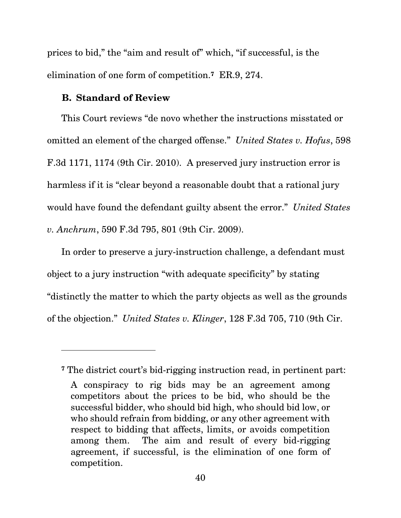prices to bid," the "aim and result of" which, "if successful, is the elimination of one form of competition.**7** ER.9, 274.

### **B. Standard of Review**

 $\overline{a}$ 

This Court reviews "de novo whether the instructions misstated or omitted an element of the charged offense." *United States v. Hofus*, 598 F.3d 1171, 1174 (9th Cir. 2010). A preserved jury instruction error is harmless if it is "clear beyond a reasonable doubt that a rational jury would have found the defendant guilty absent the error." *United States v. Anchrum*, 590 F.3d 795, 801 (9th Cir. 2009).

In order to preserve a jury-instruction challenge, a defendant must object to a jury instruction "with adequate specificity" by stating "distinctly the matter to which the party objects as well as the grounds of the objection." *United States v. Klinger*, 128 F.3d 705, 710 (9th Cir.

**<sup>7</sup>** The district court's bid-rigging instruction read, in pertinent part:

A conspiracy to rig bids may be an agreement among competitors about the prices to be bid, who should be the successful bidder, who should bid high, who should bid low, or who should refrain from bidding, or any other agreement with respect to bidding that affects, limits, or avoids competition among them. The aim and result of every bid-rigging agreement, if successful, is the elimination of one form of competition.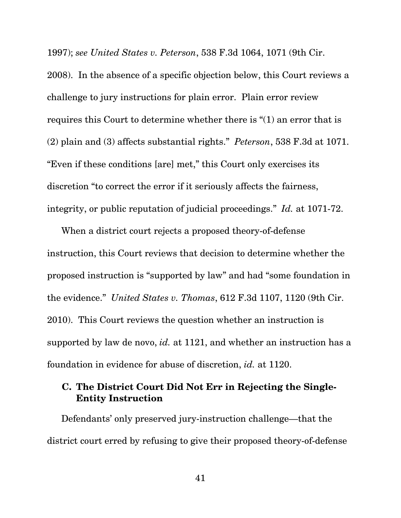1997); *see United States v. Peterson*, 538 F.3d 1064, 1071 (9th Cir.

2008). In the absence of a specific objection below, this Court reviews a challenge to jury instructions for plain error. Plain error review requires this Court to determine whether there is "(1) an error that is (2) plain and (3) affects substantial rights." *Peterson*, 538 F.3d at 1071. "Even if these conditions [are] met," this Court only exercises its discretion "to correct the error if it seriously affects the fairness, integrity, or public reputation of judicial proceedings." *Id.* at 1071-72.

When a district court rejects a proposed theory-of-defense instruction, this Court reviews that decision to determine whether the proposed instruction is "supported by law" and had "some foundation in the evidence." *United States v. Thomas*, 612 F.3d 1107, 1120 (9th Cir. 2010). This Court reviews the question whether an instruction is supported by law de novo, *id.* at 1121, and whether an instruction has a foundation in evidence for abuse of discretion, *id.* at 1120.

# **C. The District Court Did Not Err in Rejecting the Single-Entity Instruction**

Defendants' only preserved jury-instruction challenge—that the district court erred by refusing to give their proposed theory-of-defense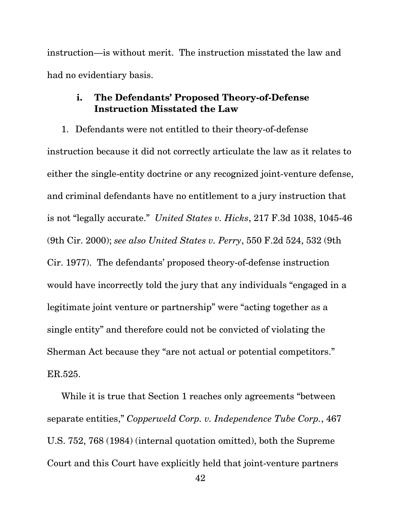instruction—is without merit. The instruction misstated the law and had no evidentiary basis.

## **i. The Defendants' Proposed Theory-of-Defense Instruction Misstated the Law**

1. Defendants were not entitled to their theory-of-defense instruction because it did not correctly articulate the law as it relates to either the single-entity doctrine or any recognized joint-venture defense, and criminal defendants have no entitlement to a jury instruction that is not "legally accurate." *United States v. Hicks*, 217 F.3d 1038, 1045-46 (9th Cir. 2000); *see also United States v. Perry*, 550 F.2d 524, 532 (9th Cir. 1977). The defendants' proposed theory-of-defense instruction would have incorrectly told the jury that any individuals "engaged in a legitimate joint venture or partnership" were "acting together as a single entity" and therefore could not be convicted of violating the Sherman Act because they "are not actual or potential competitors." ER.525.

While it is true that Section 1 reaches only agreements "between separate entities," *Copperweld Corp. v. Independence Tube Corp.*, 467 U.S. 752, 768 (1984) (internal quotation omitted), both the Supreme Court and this Court have explicitly held that joint-venture partners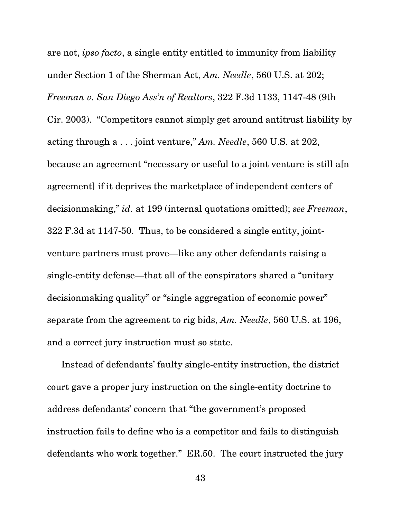are not, *ipso facto*, a single entity entitled to immunity from liability under Section 1 of the Sherman Act, *Am. Needle*, 560 U.S. at 202; *Freeman v. San Diego Ass'n of Realtors*, 322 F.3d 1133, 1147-48 (9th Cir. 2003). "Competitors cannot simply get around antitrust liability by acting through a . . . joint venture," *Am. Needle*, 560 U.S. at 202, because an agreement "necessary or useful to a joint venture is still a[n agreement] if it deprives the marketplace of independent centers of decisionmaking," *id.* at 199 (internal quotations omitted); *see Freeman*, 322 F.3d at 1147-50. Thus, to be considered a single entity, jointventure partners must prove—like any other defendants raising a single-entity defense—that all of the conspirators shared a "unitary decisionmaking quality" or "single aggregation of economic power" separate from the agreement to rig bids, *Am. Needle*, 560 U.S. at 196, and a correct jury instruction must so state.

Instead of defendants' faulty single-entity instruction, the district court gave a proper jury instruction on the single-entity doctrine to address defendants' concern that "the government's proposed instruction fails to define who is a competitor and fails to distinguish defendants who work together." ER.50. The court instructed the jury

43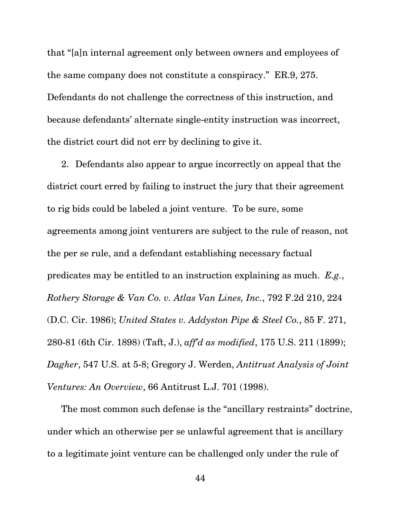that "[a]n internal agreement only between owners and employees of the same company does not constitute a conspiracy." ER.9, 275. Defendants do not challenge the correctness of this instruction, and because defendants' alternate single-entity instruction was incorrect, the district court did not err by declining to give it.

2. Defendants also appear to argue incorrectly on appeal that the district court erred by failing to instruct the jury that their agreement to rig bids could be labeled a joint venture. To be sure, some agreements among joint venturers are subject to the rule of reason, not the per se rule, and a defendant establishing necessary factual predicates may be entitled to an instruction explaining as much. *E.g.*, *Rothery Storage & Van Co. v. Atlas Van Lines, Inc.*, 792 F.2d 210, 224 (D.C. Cir. 1986); *United States v. Addyston Pipe & Steel Co.*, 85 F. 271, 280-81 (6th Cir. 1898) (Taft, J.), *aff'd as modified*, 175 U.S. 211 (1899); *Dagher*, 547 U.S. at 5-8; Gregory J. Werden, *Antitrust Analysis of Joint Ventures: An Overview*, 66 Antitrust L.J. 701 (1998).

The most common such defense is the "ancillary restraints" doctrine, under which an otherwise per se unlawful agreement that is ancillary to a legitimate joint venture can be challenged only under the rule of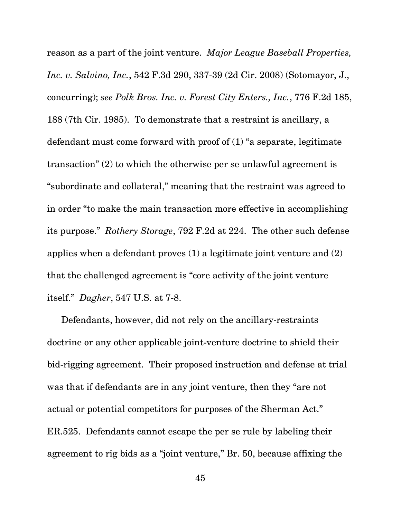reason as a part of the joint venture. *Major League Baseball Properties, Inc. v. Salvino, Inc.*, 542 F.3d 290, 337-39 (2d Cir. 2008) (Sotomayor, J., concurring); *see Polk Bros. Inc. v. Forest City Enters., Inc.*, 776 F.2d 185, 188 (7th Cir. 1985). To demonstrate that a restraint is ancillary, a defendant must come forward with proof of (1) "a separate, legitimate transaction" (2) to which the otherwise per se unlawful agreement is "subordinate and collateral," meaning that the restraint was agreed to in order "to make the main transaction more effective in accomplishing its purpose." *Rothery Storage*, 792 F.2d at 224. The other such defense applies when a defendant proves (1) a legitimate joint venture and (2) that the challenged agreement is "core activity of the joint venture itself." *Dagher*, 547 U.S. at 7-8.

Defendants, however, did not rely on the ancillary-restraints doctrine or any other applicable joint-venture doctrine to shield their bid-rigging agreement. Their proposed instruction and defense at trial was that if defendants are in any joint venture, then they "are not actual or potential competitors for purposes of the Sherman Act." ER.525. Defendants cannot escape the per se rule by labeling their agreement to rig bids as a "joint venture," Br. 50, because affixing the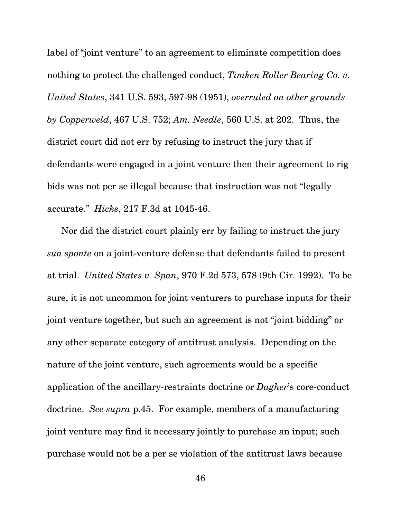label of "joint venture" to an agreement to eliminate competition does nothing to protect the challenged conduct, *Timken Roller Bearing Co. v. United States*, 341 U.S. 593, 597-98 (1951), *overruled on other grounds by Copperweld*, 467 U.S. 752; *Am. Needle*, 560 U.S. at 202. Thus, the district court did not err by refusing to instruct the jury that if defendants were engaged in a joint venture then their agreement to rig bids was not per se illegal because that instruction was not "legally accurate." *Hicks*, 217 F.3d at 1045-46.

Nor did the district court plainly err by failing to instruct the jury *sua sponte* on a joint-venture defense that defendants failed to present at trial. *United States v. Span*, 970 F.2d 573, 578 (9th Cir. 1992). To be sure, it is not uncommon for joint venturers to purchase inputs for their joint venture together, but such an agreement is not "joint bidding" or any other separate category of antitrust analysis. Depending on the nature of the joint venture, such agreements would be a specific application of the ancillary-restraints doctrine or *Dagher*'s core-conduct doctrine. *See supra* p.45. For example, members of a manufacturing joint venture may find it necessary jointly to purchase an input; such purchase would not be a per se violation of the antitrust laws because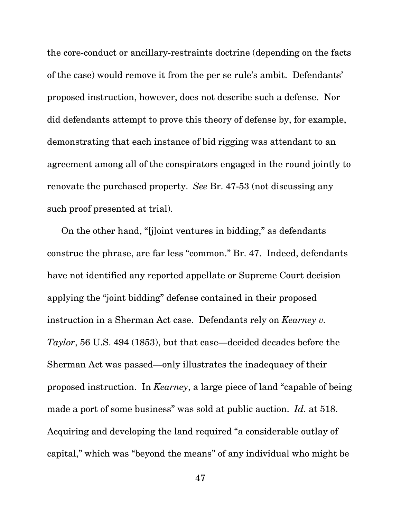the core-conduct or ancillary-restraints doctrine (depending on the facts of the case) would remove it from the per se rule's ambit. Defendants' proposed instruction, however, does not describe such a defense. Nor did defendants attempt to prove this theory of defense by, for example, demonstrating that each instance of bid rigging was attendant to an agreement among all of the conspirators engaged in the round jointly to renovate the purchased property. *See* Br. 47-53 (not discussing any such proof presented at trial).

On the other hand, "[j]oint ventures in bidding," as defendants construe the phrase, are far less "common." Br. 47. Indeed, defendants have not identified any reported appellate or Supreme Court decision applying the "joint bidding" defense contained in their proposed instruction in a Sherman Act case. Defendants rely on *Kearney v. Taylor*, 56 U.S. 494 (1853), but that case—decided decades before the Sherman Act was passed—only illustrates the inadequacy of their proposed instruction. In *Kearney*, a large piece of land "capable of being made a port of some business" was sold at public auction. *Id.* at 518. Acquiring and developing the land required "a considerable outlay of capital," which was "beyond the means" of any individual who might be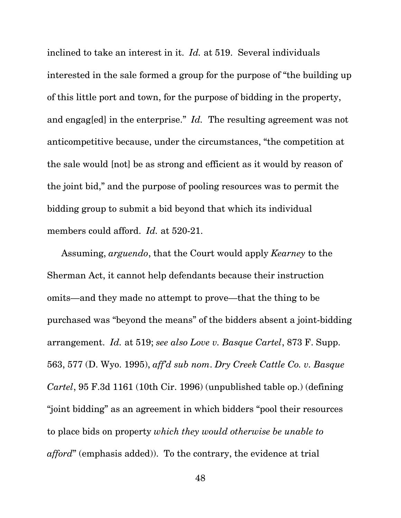inclined to take an interest in it. *Id.* at 519. Several individuals interested in the sale formed a group for the purpose of "the building up of this little port and town, for the purpose of bidding in the property, and engag[ed] in the enterprise." *Id.* The resulting agreement was not anticompetitive because, under the circumstances, "the competition at the sale would [not] be as strong and efficient as it would by reason of the joint bid," and the purpose of pooling resources was to permit the bidding group to submit a bid beyond that which its individual members could afford. *Id.* at 520-21.

Assuming, *arguendo*, that the Court would apply *Kearney* to the Sherman Act, it cannot help defendants because their instruction omits—and they made no attempt to prove—that the thing to be purchased was "beyond the means" of the bidders absent a joint-bidding arrangement. *Id.* at 519; *see also Love v. Basque Cartel*, 873 F. Supp. 563, 577 (D. Wyo. 1995), *aff'd sub nom*. *Dry Creek Cattle Co. v. Basque Cartel*, 95 F.3d 1161 (10th Cir. 1996) (unpublished table op.) (defining "joint bidding" as an agreement in which bidders "pool their resources to place bids on property *which they would otherwise be unable to afford*" (emphasis added)). To the contrary, the evidence at trial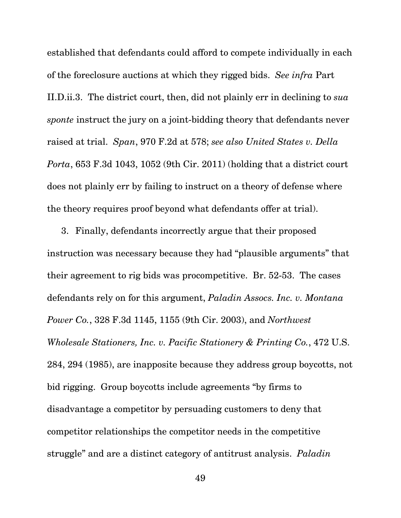established that defendants could afford to compete individually in each of the foreclosure auctions at which they rigged bids. *See infra* Part II.D.ii.3. The district court, then, did not plainly err in declining to *sua sponte* instruct the jury on a joint-bidding theory that defendants never raised at trial. *Span*, 970 F.2d at 578; *see also United States v. Della Porta*, 653 F.3d 1043, 1052 (9th Cir. 2011) (holding that a district court does not plainly err by failing to instruct on a theory of defense where the theory requires proof beyond what defendants offer at trial).

3. Finally, defendants incorrectly argue that their proposed instruction was necessary because they had "plausible arguments" that their agreement to rig bids was procompetitive. Br. 52-53. The cases defendants rely on for this argument, *Paladin Assocs. Inc. v. Montana Power Co.*, 328 F.3d 1145, 1155 (9th Cir. 2003), and *Northwest Wholesale Stationers, Inc. v. Pacific Stationery & Printing Co.*, 472 U.S. 284, 294 (1985), are inapposite because they address group boycotts, not bid rigging. Group boycotts include agreements "by firms to disadvantage a competitor by persuading customers to deny that competitor relationships the competitor needs in the competitive struggle" and are a distinct category of antitrust analysis. *Paladin*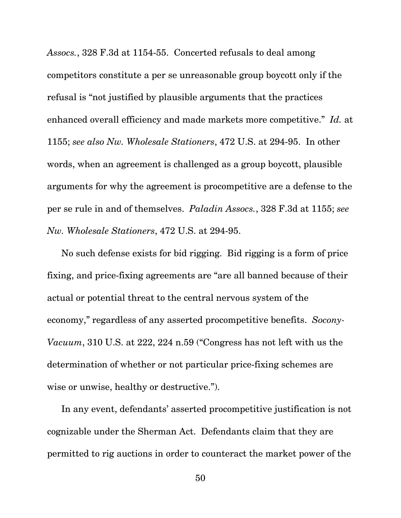*Assocs.*, 328 F.3d at 1154-55. Concerted refusals to deal among competitors constitute a per se unreasonable group boycott only if the refusal is "not justified by plausible arguments that the practices enhanced overall efficiency and made markets more competitive." *Id.* at 1155; *see also Nw. Wholesale Stationers*, 472 U.S. at 294-95. In other words, when an agreement is challenged as a group boycott, plausible arguments for why the agreement is procompetitive are a defense to the per se rule in and of themselves. *Paladin Assocs.*, 328 F.3d at 1155; *see Nw. Wholesale Stationers*, 472 U.S. at 294-95.

No such defense exists for bid rigging. Bid rigging is a form of price fixing, and price-fixing agreements are "are all banned because of their actual or potential threat to the central nervous system of the economy," regardless of any asserted procompetitive benefits. *Socony-Vacuum*, 310 U.S. at 222, 224 n.59 ("Congress has not left with us the determination of whether or not particular price-fixing schemes are wise or unwise, healthy or destructive.").

In any event, defendants' asserted procompetitive justification is not cognizable under the Sherman Act. Defendants claim that they are permitted to rig auctions in order to counteract the market power of the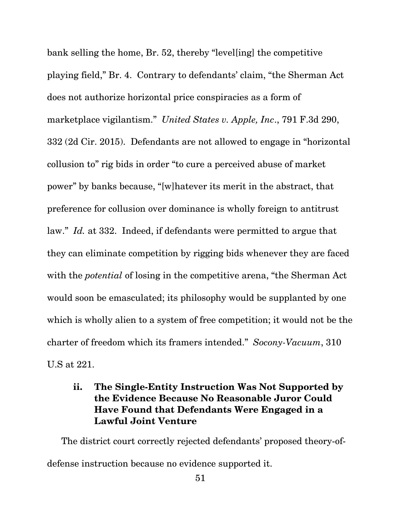bank selling the home, Br. 52, thereby "level[ing] the competitive playing field," Br. 4. Contrary to defendants' claim, "the Sherman Act does not authorize horizontal price conspiracies as a form of marketplace vigilantism." *United States v. Apple, Inc*., 791 F.3d 290, 332 (2d Cir. 2015). Defendants are not allowed to engage in "horizontal collusion to" rig bids in order "to cure a perceived abuse of market power" by banks because, "[w]hatever its merit in the abstract, that preference for collusion over dominance is wholly foreign to antitrust law." *Id.* at 332. Indeed, if defendants were permitted to argue that they can eliminate competition by rigging bids whenever they are faced with the *potential* of losing in the competitive arena, "the Sherman Act" would soon be emasculated; its philosophy would be supplanted by one which is wholly alien to a system of free competition; it would not be the charter of freedom which its framers intended." *Socony-Vacuum*, 310 U.S at 221.

# **ii. The Single-Entity Instruction Was Not Supported by the Evidence Because No Reasonable Juror Could Have Found that Defendants Were Engaged in a Lawful Joint Venture**

The district court correctly rejected defendants' proposed theory-ofdefense instruction because no evidence supported it.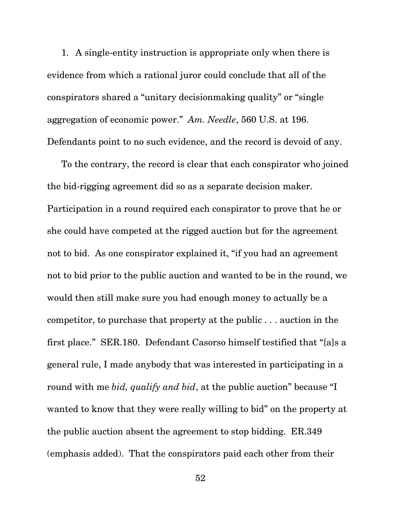1. A single-entity instruction is appropriate only when there is evidence from which a rational juror could conclude that all of the conspirators shared a "unitary decisionmaking quality" or "single aggregation of economic power." *Am. Needle*, 560 U.S. at 196. Defendants point to no such evidence, and the record is devoid of any.

To the contrary, the record is clear that each conspirator who joined the bid-rigging agreement did so as a separate decision maker. Participation in a round required each conspirator to prove that he or she could have competed at the rigged auction but for the agreement not to bid. As one conspirator explained it, "if you had an agreement not to bid prior to the public auction and wanted to be in the round, we would then still make sure you had enough money to actually be a competitor, to purchase that property at the public . . . auction in the first place." SER.180. Defendant Casorso himself testified that "[a]s a general rule, I made anybody that was interested in participating in a round with me *bid, qualify and bid*, at the public auction" because "I wanted to know that they were really willing to bid" on the property at the public auction absent the agreement to stop bidding. ER.349 (emphasis added). That the conspirators paid each other from their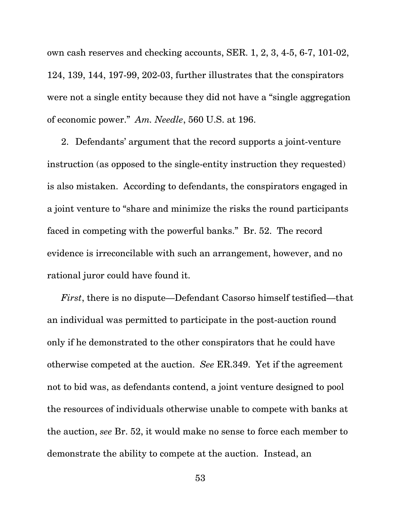own cash reserves and checking accounts, SER. 1, 2, 3, 4-5, 6-7, 101-02, 124, 139, 144, 197-99, 202-03, further illustrates that the conspirators were not a single entity because they did not have a "single aggregation of economic power." *Am. Needle*, 560 U.S. at 196.

2. Defendants' argument that the record supports a joint-venture instruction (as opposed to the single-entity instruction they requested) is also mistaken. According to defendants, the conspirators engaged in a joint venture to "share and minimize the risks the round participants faced in competing with the powerful banks." Br. 52. The record evidence is irreconcilable with such an arrangement, however, and no rational juror could have found it.

*First*, there is no dispute—Defendant Casorso himself testified—that an individual was permitted to participate in the post-auction round only if he demonstrated to the other conspirators that he could have otherwise competed at the auction. *See* ER.349. Yet if the agreement not to bid was, as defendants contend, a joint venture designed to pool the resources of individuals otherwise unable to compete with banks at the auction, *see* Br. 52, it would make no sense to force each member to demonstrate the ability to compete at the auction. Instead, an

53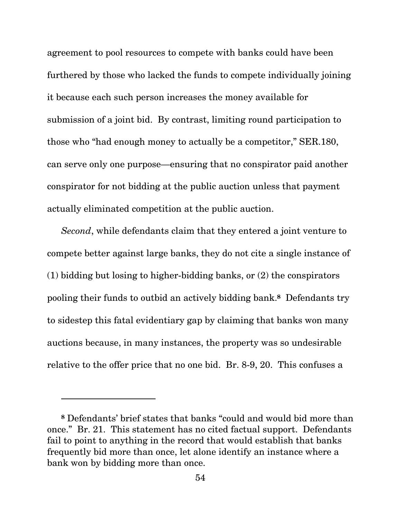agreement to pool resources to compete with banks could have been furthered by those who lacked the funds to compete individually joining it because each such person increases the money available for submission of a joint bid. By contrast, limiting round participation to those who "had enough money to actually be a competitor," SER.180, can serve only one purpose—ensuring that no conspirator paid another conspirator for not bidding at the public auction unless that payment actually eliminated competition at the public auction.

*Second*, while defendants claim that they entered a joint venture to compete better against large banks, they do not cite a single instance of (1) bidding but losing to higher-bidding banks, or (2) the conspirators pooling their funds to outbid an actively bidding bank.**8** Defendants try to sidestep this fatal evidentiary gap by claiming that banks won many auctions because, in many instances, the property was so undesirable relative to the offer price that no one bid. Br. 8-9, 20. This confuses a

l

**<sup>8</sup>** Defendants' brief states that banks "could and would bid more than once." Br. 21. This statement has no cited factual support. Defendants fail to point to anything in the record that would establish that banks frequently bid more than once, let alone identify an instance where a bank won by bidding more than once.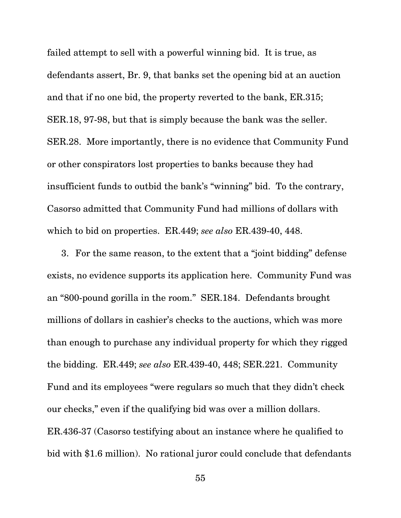SER.18, 97-98, but that is simply because the bank was the seller. failed attempt to sell with a powerful winning bid. It is true, as defendants assert, Br. 9, that banks set the opening bid at an auction and that if no one bid, the property reverted to the bank, ER.315; SER.28. More importantly, there is no evidence that Community Fund or other conspirators lost properties to banks because they had insufficient funds to outbid the bank's "winning" bid. To the contrary, Casorso admitted that Community Fund had millions of dollars with which to bid on properties. ER.449; *see also* ER.439-40, 448.

3. For the same reason, to the extent that a "joint bidding" defense exists, no evidence supports its application here. Community Fund was an "800-pound gorilla in the room." SER.184. Defendants brought millions of dollars in cashier's checks to the auctions, which was more than enough to purchase any individual property for which they rigged the bidding. ER.449; *see also* ER.439-40, 448; SER.221. Community Fund and its employees "were regulars so much that they didn't check our checks," even if the qualifying bid was over a million dollars. ER.436-37 (Casorso testifying about an instance where he qualified to bid with \$1.6 million). No rational juror could conclude that defendants

55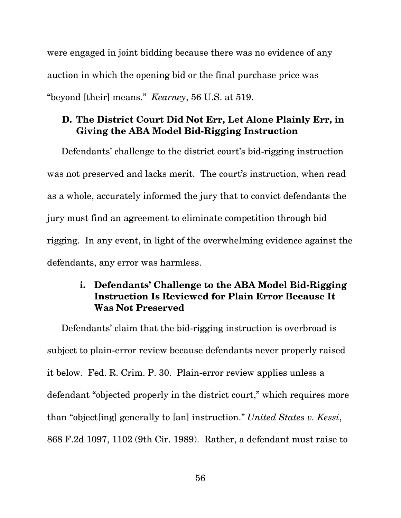were engaged in joint bidding because there was no evidence of any auction in which the opening bid or the final purchase price was "beyond [their] means." *Kearney*, 56 U.S. at 519.

## **D. The District Court Did Not Err, Let Alone Plainly Err, in Giving the ABA Model Bid-Rigging Instruction**

Defendants' challenge to the district court's bid-rigging instruction was not preserved and lacks merit. The court's instruction, when read as a whole, accurately informed the jury that to convict defendants the jury must find an agreement to eliminate competition through bid rigging. In any event, in light of the overwhelming evidence against the defendants, any error was harmless.

## **i. Defendants' Challenge to the ABA Model Bid-Rigging Instruction Is Reviewed for Plain Error Because It Was Not Preserved**

Defendants' claim that the bid-rigging instruction is overbroad is subject to plain-error review because defendants never properly raised it below. Fed. R. Crim. P. 30. Plain-error review applies unless a defendant "objected properly in the district court," which requires more than "object[ing] generally to [an] instruction." *United States v. Kessi*, 868 F.2d 1097, 1102 (9th Cir. 1989). Rather, a defendant must raise to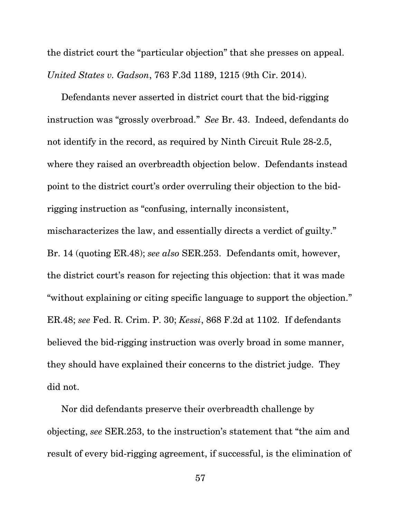the district court the "particular objection" that she presses on appeal. *United States v. Gadson*, 763 F.3d 1189, 1215 (9th Cir. 2014).

Defendants never asserted in district court that the bid-rigging instruction was "grossly overbroad." *See* Br. 43. Indeed, defendants do not identify in the record, as required by Ninth Circuit Rule 28-2.5, where they raised an overbreadth objection below. Defendants instead point to the district court's order overruling their objection to the bidrigging instruction as "confusing, internally inconsistent, mischaracterizes the law, and essentially directs a verdict of guilty." Br. 14 (quoting ER.48); *see also* SER.253. Defendants omit, however, the district court's reason for rejecting this objection: that it was made "without explaining or citing specific language to support the objection." ER.48; *see* Fed. R. Crim. P. 30; *Kessi*, 868 F.2d at 1102. If defendants believed the bid-rigging instruction was overly broad in some manner, they should have explained their concerns to the district judge. They did not.

Nor did defendants preserve their overbreadth challenge by objecting, *see* SER.253, to the instruction's statement that "the aim and result of every bid-rigging agreement, if successful, is the elimination of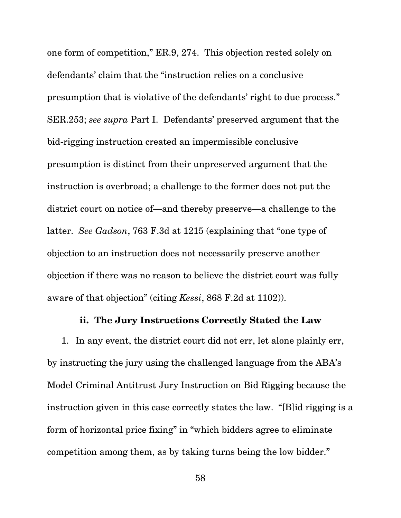one form of competition," ER.9, 274. This objection rested solely on defendants' claim that the "instruction relies on a conclusive presumption that is violative of the defendants' right to due process." SER.253; *see supra* Part I. Defendants' preserved argument that the bid-rigging instruction created an impermissible conclusive presumption is distinct from their unpreserved argument that the instruction is overbroad; a challenge to the former does not put the district court on notice of—and thereby preserve—a challenge to the latter. *See Gadson*, 763 F.3d at 1215 (explaining that "one type of objection to an instruction does not necessarily preserve another objection if there was no reason to believe the district court was fully aware of that objection" (citing *Kessi*, 868 F.2d at 1102)).

### **ii. The Jury Instructions Correctly Stated the Law**

1. In any event, the district court did not err, let alone plainly err, by instructing the jury using the challenged language from the ABA's Model Criminal Antitrust Jury Instruction on Bid Rigging because the instruction given in this case correctly states the law. "[B]id rigging is a form of horizontal price fixing" in "which bidders agree to eliminate competition among them, as by taking turns being the low bidder."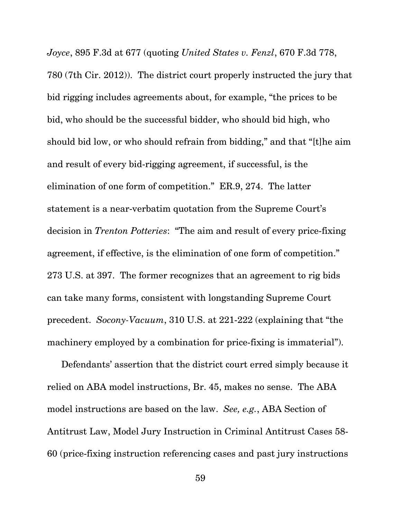*Joyce*, 895 F.3d at 677 (quoting *United States v. Fenzl*, 670 F.3d 778, 780 (7th Cir. 2012)). The district court properly instructed the jury that bid rigging includes agreements about, for example, "the prices to be bid, who should be the successful bidder, who should bid high, who should bid low, or who should refrain from bidding," and that "[t]he aim and result of every bid-rigging agreement, if successful, is the elimination of one form of competition." ER.9, 274. The latter statement is a near-verbatim quotation from the Supreme Court's decision in *Trenton Potteries*: "The aim and result of every price-fixing agreement, if effective, is the elimination of one form of competition." 273 U.S. at 397. The former recognizes that an agreement to rig bids can take many forms, consistent with longstanding Supreme Court precedent. *Socony-Vacuum*, 310 U.S. at 221-222 (explaining that "the machinery employed by a combination for price-fixing is immaterial").

Defendants' assertion that the district court erred simply because it relied on ABA model instructions, Br. 45, makes no sense. The ABA model instructions are based on the law. *See, e.g.*, ABA Section of Antitrust Law, Model Jury Instruction in Criminal Antitrust Cases 58- 60 (price-fixing instruction referencing cases and past jury instructions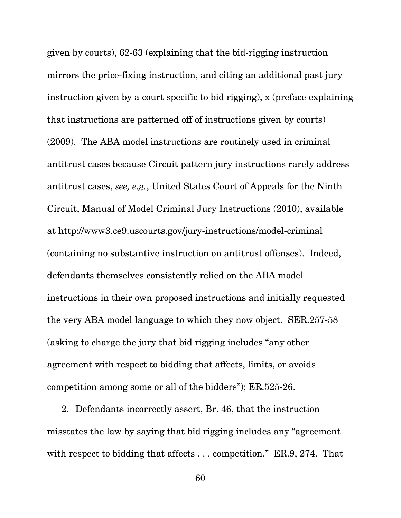given by courts), 62-63 (explaining that the bid-rigging instruction mirrors the price-fixing instruction, and citing an additional past jury instruction given by a court specific to bid rigging), x (preface explaining that instructions are patterned off of instructions given by courts) (2009). The ABA model instructions are routinely used in criminal antitrust cases because Circuit pattern jury instructions rarely address antitrust cases, *see, e.g.*, United States Court of Appeals for the Ninth Circuit, Manual of Model Criminal Jury Instructions (2010), available at http://www3.ce9.uscourts.gov/jury-instructions/model-criminal (containing no substantive instruction on antitrust offenses). Indeed, defendants themselves consistently relied on the ABA model instructions in their own proposed instructions and initially requested the very ABA model language to which they now object. SER.257-58 (asking to charge the jury that bid rigging includes "any other agreement with respect to bidding that affects, limits, or avoids competition among some or all of the bidders"); ER.525-26.

2. Defendants incorrectly assert, Br. 46, that the instruction misstates the law by saying that bid rigging includes any "agreement with respect to bidding that affects . . . competition." ER.9, 274. That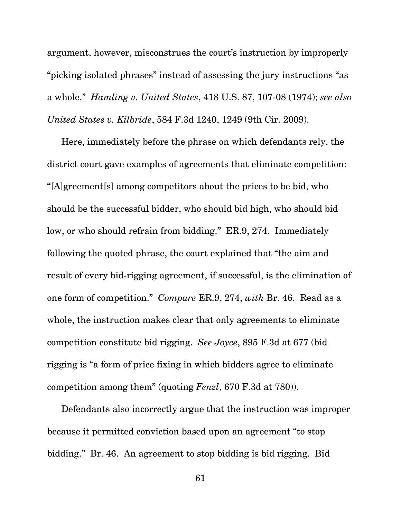argument, however, misconstrues the court's instruction by improperly "picking isolated phrases" instead of assessing the jury instructions "as a whole." *Hamling v. United States*, 418 U.S. 87, 107-08 (1974); *see also United States v. Kilbride*, 584 F.3d 1240, 1249 (9th Cir. 2009).

Here, immediately before the phrase on which defendants rely, the district court gave examples of agreements that eliminate competition: "[A]greement[s] among competitors about the prices to be bid, who should be the successful bidder, who should bid high, who should bid low, or who should refrain from bidding." ER.9, 274. Immediately following the quoted phrase, the court explained that "the aim and result of every bid-rigging agreement, if successful, is the elimination of one form of competition." *Compare* ER.9, 274, *with* Br. 46. Read as a whole, the instruction makes clear that only agreements to eliminate competition constitute bid rigging. *See Joyce*, 895 F.3d at 677 (bid rigging is "a form of price fixing in which bidders agree to eliminate competition among them" (quoting *Fenzl*, 670 F.3d at 780)).

Defendants also incorrectly argue that the instruction was improper because it permitted conviction based upon an agreement "to stop bidding." Br. 46. An agreement to stop bidding is bid rigging. Bid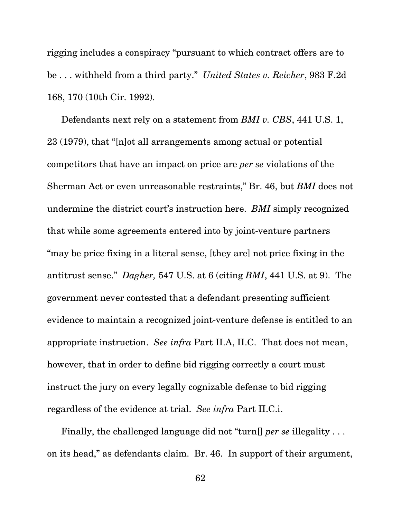rigging includes a conspiracy "pursuant to which contract offers are to be . . . withheld from a third party." *United States v. Reicher*, 983 F.2d 168, 170 (10th Cir. 1992).

Defendants next rely on a statement from *BMI v. CBS*, 441 U.S. 1, 23 (1979), that "[n]ot all arrangements among actual or potential competitors that have an impact on price are *per se* violations of the Sherman Act or even unreasonable restraints," Br. 46, but *BMI* does not undermine the district court's instruction here. *BMI* simply recognized that while some agreements entered into by joint-venture partners "may be price fixing in a literal sense, [they are] not price fixing in the antitrust sense." *Dagher,* 547 U.S. at 6 (citing *BMI*, 441 U.S. at 9). The government never contested that a defendant presenting sufficient evidence to maintain a recognized joint-venture defense is entitled to an appropriate instruction. *See infra* Part II.A, II.C. That does not mean, however, that in order to define bid rigging correctly a court must instruct the jury on every legally cognizable defense to bid rigging regardless of the evidence at trial. *See infra* Part II.C.i.

Finally, the challenged language did not "turn[] *per se* illegality . . . on its head," as defendants claim. Br. 46. In support of their argument,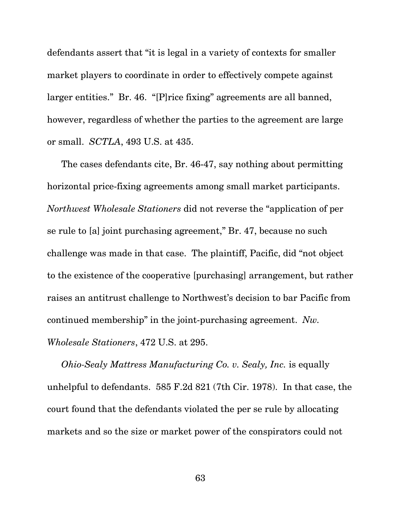defendants assert that "it is legal in a variety of contexts for smaller market players to coordinate in order to effectively compete against larger entities." Br. 46. "[P]rice fixing" agreements are all banned, however, regardless of whether the parties to the agreement are large or small. *SCTLA*, 493 U.S. at 435.

The cases defendants cite, Br. 46-47, say nothing about permitting horizontal price-fixing agreements among small market participants. *Northwest Wholesale Stationers* did not reverse the "application of per se rule to [a] joint purchasing agreement," Br. 47, because no such challenge was made in that case. The plaintiff, Pacific, did "not object to the existence of the cooperative [purchasing] arrangement, but rather raises an antitrust challenge to Northwest's decision to bar Pacific from continued membership" in the joint-purchasing agreement. *Nw. Wholesale Stationers*, 472 U.S. at 295.

*Ohio-Sealy Mattress Manufacturing Co. v. Sealy, Inc.* is equally unhelpful to defendants. 585 F.2d 821 (7th Cir. 1978). In that case, the court found that the defendants violated the per se rule by allocating markets and so the size or market power of the conspirators could not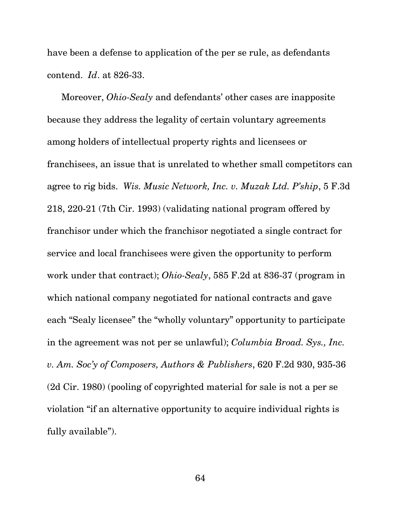have been a defense to application of the per se rule, as defendants contend. *Id*. at 826-33.

Moreover, *Ohio-Sealy* and defendants' other cases are inapposite because they address the legality of certain voluntary agreements among holders of intellectual property rights and licensees or franchisees, an issue that is unrelated to whether small competitors can agree to rig bids. *Wis. Music Network, Inc. v. Muzak Ltd. P'ship*, 5 F.3d 218, 220-21 (7th Cir. 1993) (validating national program offered by franchisor under which the franchisor negotiated a single contract for service and local franchisees were given the opportunity to perform work under that contract); *Ohio-Sealy*, 585 F.2d at 836-37 (program in which national company negotiated for national contracts and gave each "Sealy licensee" the "wholly voluntary" opportunity to participate in the agreement was not per se unlawful); *Columbia Broad. Sys., Inc. v. Am. Soc'y of Composers, Authors & Publishers*, 620 F.2d 930, 935-36 (2d Cir. 1980) (pooling of copyrighted material for sale is not a per se violation "if an alternative opportunity to acquire individual rights is fully available").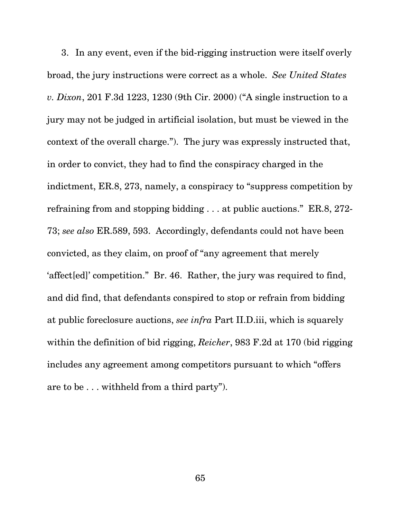3. In any event, even if the bid-rigging instruction were itself overly broad, the jury instructions were correct as a whole. *See United States v. Dixon*, 201 F.3d 1223, 1230 (9th Cir. 2000) ("A single instruction to a jury may not be judged in artificial isolation, but must be viewed in the context of the overall charge."). The jury was expressly instructed that, in order to convict, they had to find the conspiracy charged in the indictment, ER.8, 273, namely, a conspiracy to "suppress competition by refraining from and stopping bidding . . . at public auctions." ER.8, 272- 73; *see also* ER.589, 593. Accordingly, defendants could not have been convicted, as they claim, on proof of "any agreement that merely 'affect[ed]' competition." Br. 46. Rather, the jury was required to find, and did find, that defendants conspired to stop or refrain from bidding at public foreclosure auctions, *see infra* Part II.D.iii, which is squarely within the definition of bid rigging, *Reicher*, 983 F.2d at 170 (bid rigging includes any agreement among competitors pursuant to which "offers are to be . . . withheld from a third party").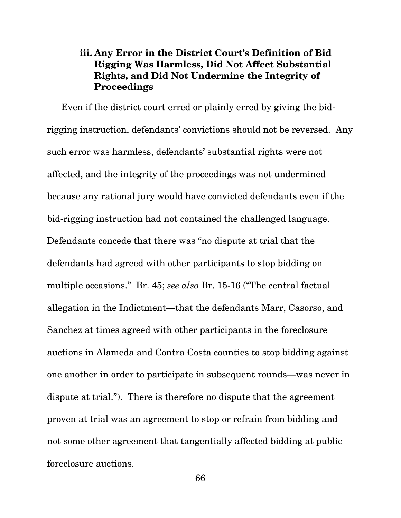## **iii. Any Error in the District Court's Definition of Bid Rigging Was Harmless, Did Not Affect Substantial Rights, and Did Not Undermine the Integrity of Proceedings**

Even if the district court erred or plainly erred by giving the bidrigging instruction, defendants' convictions should not be reversed. Any such error was harmless, defendants' substantial rights were not affected, and the integrity of the proceedings was not undermined because any rational jury would have convicted defendants even if the bid-rigging instruction had not contained the challenged language. Defendants concede that there was "no dispute at trial that the defendants had agreed with other participants to stop bidding on multiple occasions." Br. 45; *see also* Br. 15-16 ("The central factual allegation in the Indictment—that the defendants Marr, Casorso, and Sanchez at times agreed with other participants in the foreclosure auctions in Alameda and Contra Costa counties to stop bidding against one another in order to participate in subsequent rounds—was never in dispute at trial."). There is therefore no dispute that the agreement proven at trial was an agreement to stop or refrain from bidding and not some other agreement that tangentially affected bidding at public foreclosure auctions.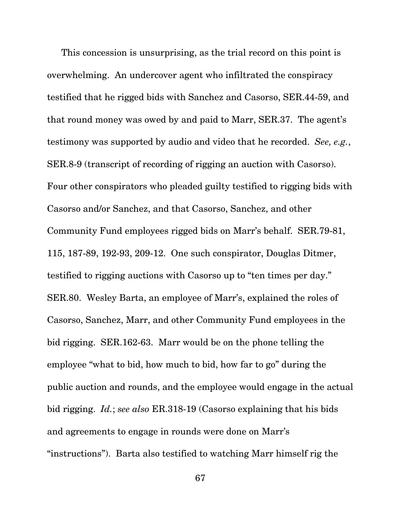This concession is unsurprising, as the trial record on this point is overwhelming. An undercover agent who infiltrated the conspiracy testified that he rigged bids with Sanchez and Casorso, SER.44-59, and that round money was owed by and paid to Marr, SER.37. The agent's testimony was supported by audio and video that he recorded. *See, e.g.*, SER.8-9 (transcript of recording of rigging an auction with Casorso). Four other conspirators who pleaded guilty testified to rigging bids with Casorso and/or Sanchez, and that Casorso, Sanchez, and other Community Fund employees rigged bids on Marr's behalf. SER.79-81, 115, 187-89, 192-93, 209-12. One such conspirator, Douglas Ditmer, testified to rigging auctions with Casorso up to "ten times per day." SER.80. Wesley Barta, an employee of Marr's, explained the roles of Casorso, Sanchez, Marr, and other Community Fund employees in the bid rigging. SER.162-63. Marr would be on the phone telling the employee "what to bid, how much to bid, how far to go" during the public auction and rounds, and the employee would engage in the actual bid rigging. *Id.*; *see also* ER.318-19 (Casorso explaining that his bids and agreements to engage in rounds were done on Marr's "instructions"). Barta also testified to watching Marr himself rig the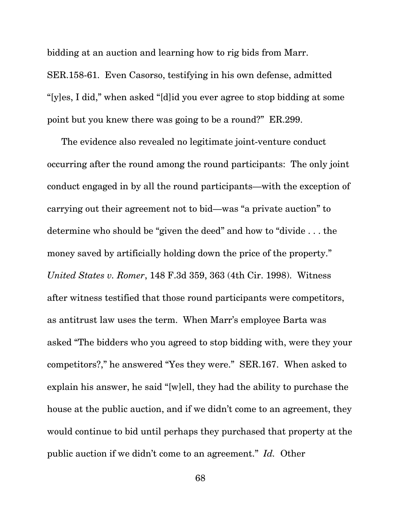bidding at an auction and learning how to rig bids from Marr. SER.158-61. Even Casorso, testifying in his own defense, admitted "[y]es, I did," when asked "[d]id you ever agree to stop bidding at some point but you knew there was going to be a round?" ER.299.

The evidence also revealed no legitimate joint-venture conduct occurring after the round among the round participants: The only joint conduct engaged in by all the round participants—with the exception of carrying out their agreement not to bid—was "a private auction" to determine who should be "given the deed" and how to "divide . . . the money saved by artificially holding down the price of the property." *United States v. Romer*, 148 F.3d 359, 363 (4th Cir. 1998). Witness after witness testified that those round participants were competitors, as antitrust law uses the term. When Marr's employee Barta was asked "The bidders who you agreed to stop bidding with, were they your competitors?," he answered "Yes they were." SER.167. When asked to explain his answer, he said "[w]ell, they had the ability to purchase the house at the public auction, and if we didn't come to an agreement, they would continue to bid until perhaps they purchased that property at the public auction if we didn't come to an agreement." *Id.* Other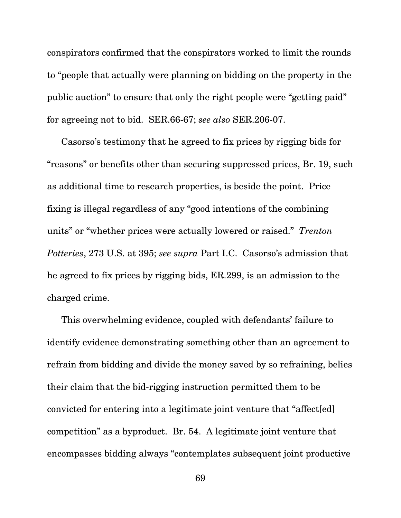conspirators confirmed that the conspirators worked to limit the rounds to "people that actually were planning on bidding on the property in the public auction" to ensure that only the right people were "getting paid" for agreeing not to bid. SER.66-67; *see also* SER.206-07.

Casorso's testimony that he agreed to fix prices by rigging bids for "reasons" or benefits other than securing suppressed prices, Br. 19, such as additional time to research properties, is beside the point. Price fixing is illegal regardless of any "good intentions of the combining units" or "whether prices were actually lowered or raised." *Trenton Potteries*, 273 U.S. at 395; *see supra* Part I.C. Casorso's admission that he agreed to fix prices by rigging bids, ER.299, is an admission to the charged crime.

This overwhelming evidence, coupled with defendants' failure to identify evidence demonstrating something other than an agreement to refrain from bidding and divide the money saved by so refraining, belies their claim that the bid-rigging instruction permitted them to be convicted for entering into a legitimate joint venture that "affect[ed] competition" as a byproduct. Br. 54. A legitimate joint venture that encompasses bidding always "contemplates subsequent joint productive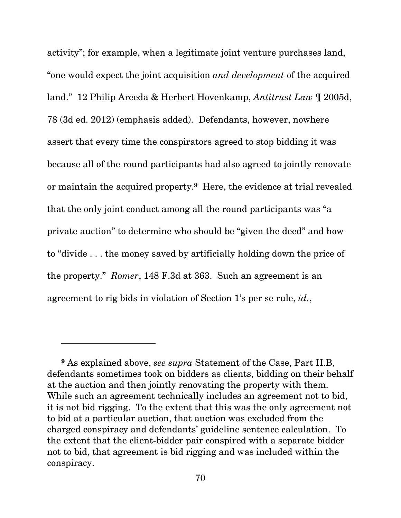activity"; for example, when a legitimate joint venture purchases land, "one would expect the joint acquisition *and development* of the acquired land." 12 Philip Areeda & Herbert Hovenkamp, *Antitrust Law* ¶ 2005d, 78 (3d ed. 2012) (emphasis added). Defendants, however, nowhere assert that every time the conspirators agreed to stop bidding it was because all of the round participants had also agreed to jointly renovate or maintain the acquired property.**9** Here, the evidence at trial revealed that the only joint conduct among all the round participants was "a private auction" to determine who should be "given the deed" and how to "divide . . . the money saved by artificially holding down the price of the property." *Romer*, 148 F.3d at 363. Such an agreement is an agreement to rig bids in violation of Section 1's per se rule, *id.*,

l

**<sup>9</sup>** As explained above, *see supra* Statement of the Case, Part II.B, defendants sometimes took on bidders as clients, bidding on their behalf at the auction and then jointly renovating the property with them. While such an agreement technically includes an agreement not to bid, it is not bid rigging. To the extent that this was the only agreement not to bid at a particular auction, that auction was excluded from the charged conspiracy and defendants' guideline sentence calculation. To the extent that the client-bidder pair conspired with a separate bidder not to bid, that agreement is bid rigging and was included within the conspiracy.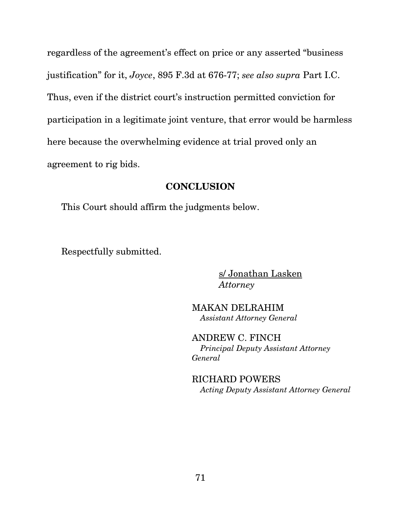regardless of the agreement's effect on price or any asserted "business justification" for it, *Joyce*, 895 F.3d at 676-77; *see also supra* Part I.C. Thus, even if the district court's instruction permitted conviction for participation in a legitimate joint venture, that error would be harmless here because the overwhelming evidence at trial proved only an agreement to rig bids.

#### **CONCLUSION**

This Court should affirm the judgments below.

Respectfully submitted.

s/ Jonathan Lasken *Attorney*

MAKAN DELRAHIM *Assistant Attorney General* 

ANDREW C. FINCH *Principal Deputy Assistant Attorney General* 

RICHARD POWERS *Acting Deputy Assistant Attorney General*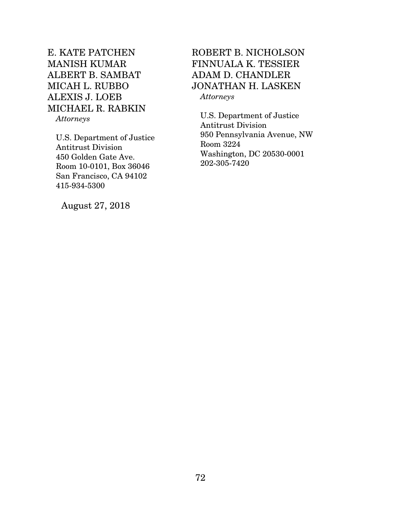# E. KATE PATCHEN MANISH KUMAR ALBERT B. SAMBAT MICAH L. RUBBO ALEXIS J. LOEB MICHAEL R. RABKIN

*Attorneys* 

U.S. Department of Justice Antitrust Division 450 Golden Gate Ave. Room 10-0101, Box 36046 San Francisco, CA 94102 415-934-5300

August 27, 2018

## ROBERT B. NICHOLSON FINNUALA K. TESSIER ADAM D. CHANDLER JONATHAN H. LASKEN *Attorneys*

U.S. Department of Justice Antitrust Division 950 Pennsylvania Avenue, NW Room 3224 Washington, DC 20530-0001 202-305-7420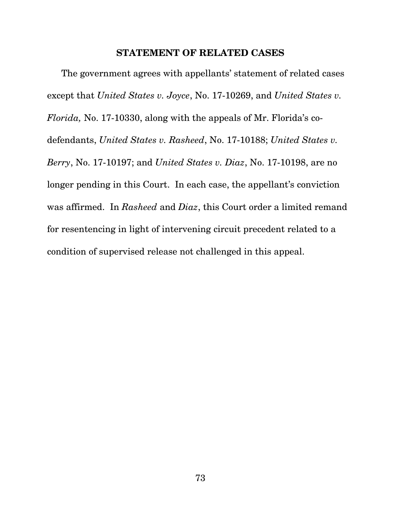### **STATEMENT OF RELATED CASES**

The government agrees with appellants' statement of related cases except that *United States v. Joyce*, No. 17-10269, and *United States v. Florida,* No. 17-10330, along with the appeals of Mr. Florida's codefendants, *United States v. Rasheed*, No. 17-10188; *United States v. Berry*, No. 17-10197; and *United States v. Diaz*, No. 17-10198, are no longer pending in this Court. In each case, the appellant's conviction was affirmed. In *Rasheed* and *Diaz*, this Court order a limited remand for resentencing in light of intervening circuit precedent related to a condition of supervised release not challenged in this appeal.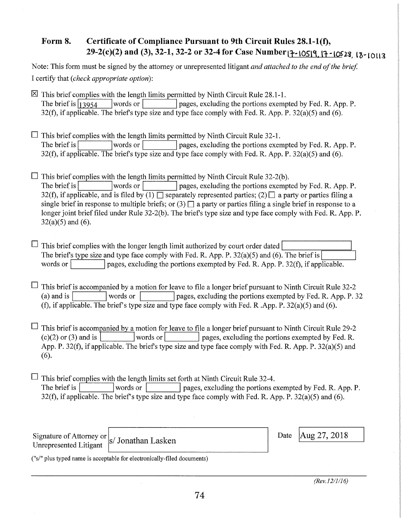## **Form 8. Certificate of Compliance Pursuant to 9th Circuit Rules 28.1-l(f), 29-2(c)(2) and (3), 32-1, 32-2 or 32-4 for Case Number 17-10519, <sup>17</sup> -10528 18-10113**

| Note: This form must be signed by the attorney or unrepresented litigant and attached to the end of the brief. |
|----------------------------------------------------------------------------------------------------------------|
| I certify that (check appropriate option):                                                                     |

 $\boxtimes$  This brief complies with the length limits permitted by Ninth Circuit Rule 28.1-1. The brief is  $\begin{array}{c} 13954 \\ \end{array}$  words or pages, excluding the portions exempted by Fed. R. App. P. 32(f), if applicable. The briefs type size and type face comply with Fed. R. App. P. 32(a)(5) and (6).

 $\Box$  This brief complies with the length limits permitted by Ninth Circuit Rule 32-1. The brief is words or pages, excluding the portions exempted by Fed. R. App. P. 32(f), if applicable. The brief's type size and type face comply with Fed. R. App. P. 32(a)(5) and (6).

 $\Box$  This brief complies with the length limits permitted by Ninth Circuit Rule 32-2(b). The brief is words or pages, excluding the portions exempted by Fed. R. App. P. 32(f), if applicable, and is filed by  $(1)$  separately represented parties;  $(2)$  a party or parties filing a single brief in response to multiple briefs; or  $(3)$   $\Box$  a party or parties filing a single brief in response to a longer joint brief filed under Rule 32-2(b). The briefs type size and type face comply with Fed. R. App. P.  $32(a)(5)$  and  $(6)$ .

 $\Box$  This brief complies with the longer length limit authorized by court order dated The briefs type size and type face comply with Fed. R. App. P. 32(a)(5) and (6). The brief is words or pages, excluding the portions exempted by Fed. R. App. P.  $32(f)$ , if applicable.

 $\Box$  This brief is accompanied by a motion for leave to file a longer brief pursuant to Ninth Circuit Rule 32-2 (a) and is words or pages, excluding the portions exempted by Fed. R. App. P. 32 (f), if applicable. The brief's type size and type face comply with Fed. R. App. P.  $32(a)(5)$  and (6).

 $\Box$  This brief is accompanied by a motion for leave to file a longer brief pursuant to Ninth Circuit Rule 29-2 (c)(2) or (3) and is words or words or pages, excluding the portions exempted by Fed. R. App. P. 32(f), if applicable. The briefs type size and type face comply with Fed. R. App. P. 32(a)(5) and (6).

 $\Box$  This brief complies with the length limits set forth at Ninth Circuit Rule 32-4. The brief is words or words or pages, excluding the portions exempted by Fed. R. App. P. 32(f), if applicable. The brief's type size and type face comply with Fed. R. App. P.  $32(a)(5)$  and (6).

Signature of Attorney or  $|s|$  Jonathan Lasken Unrepresented Litigant

Date | Aug 27, 2018

(''s/" plus typed name is acceptable for electronically-filed documents)